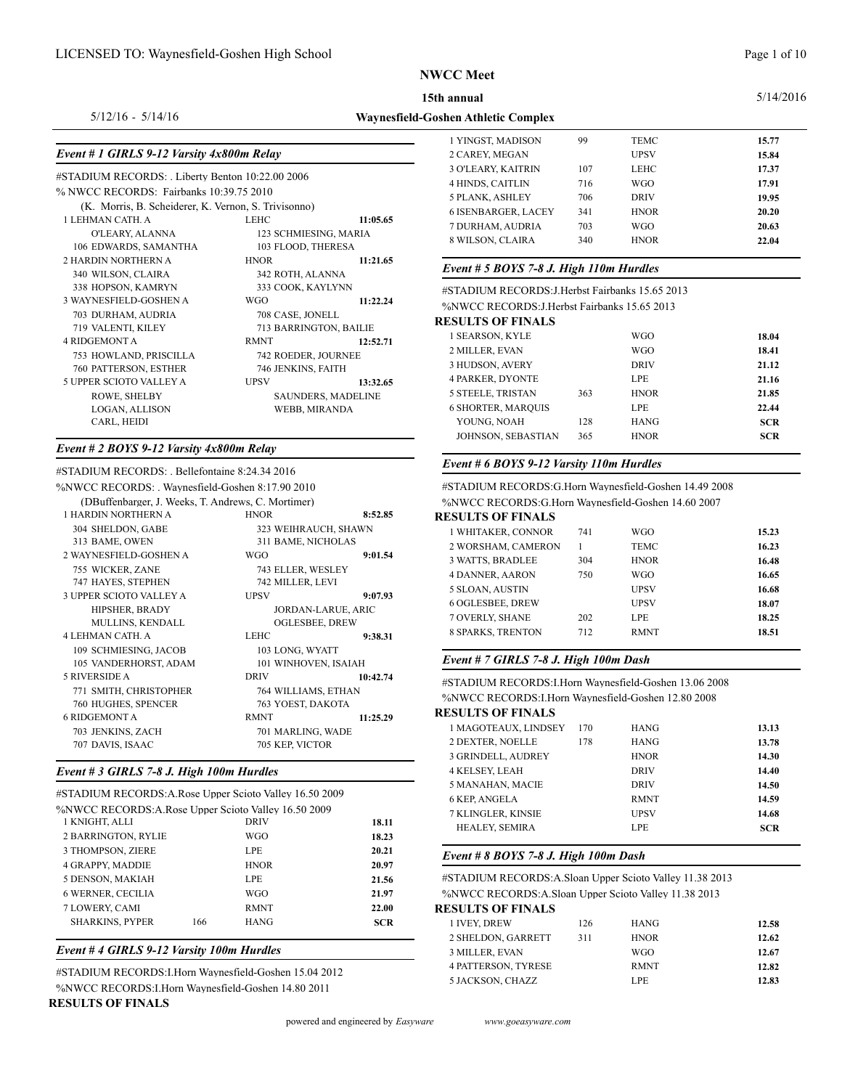**Waynesfield-Goshen Athletic Complex**

#### 5/14/2016

### 5/12/16 - 5/14/16

# *Event # 1 GIRLS 9-12 Varsity 4x800m Relay*

| #STADIUM RECORDS: . Liberty Benton 10:22.00 2006     |                                  |                        |                   |
|------------------------------------------------------|----------------------------------|------------------------|-------------------|
| % NWCC RECORDS: Fairbanks 10:39.75 2010              | 4 HINDS, CA                      |                        |                   |
| (K. Morris, B. Scheiderer, K. Vernon, S. Trivisonno) | 5 PLANK, AS<br><b>6 ISENBARG</b> |                        |                   |
| 1 LEHMAN CATH. A                                     | LEHC                             | 11:05.65               | 7 DURHAM,         |
| O'LEARY, ALANNA                                      |                                  | 123 SCHMIESING, MARIA  | 8 WILSON, C       |
| 106 EDWARDS, SAMANTHA                                | 103 FLOOD, THERESA               |                        |                   |
| <b>2 HARDIN NORTHERN A</b>                           | <b>HNOR</b>                      | 11:21.65               | Event # $5B$      |
| 340 WILSON, CLAIRA                                   | 342 ROTH, ALANNA                 |                        |                   |
| 338 HOPSON, KAMRYN                                   | 333 COOK, KAYLYNN                |                        | #STADIUM F        |
| 3 WAYNESFIELD-GOSHEN A                               | <b>WGO</b>                       | 11:22.24               | %NWCC RE          |
| 703 DURHAM, AUDRIA                                   | 708 CASE, JONELL                 |                        | <b>RESULTS OI</b> |
| 719 VALENTI, KILEY                                   |                                  | 713 BARRINGTON, BAILIE |                   |
| 4 RIDGEMONT A                                        | <b>RMNT</b>                      | 12:52.71               | 1 SEARSON,        |
| 753 HOWLAND, PRISCILLA                               | 742 ROEDER, JOURNEE              |                        | 2 MILLER, E       |
| 760 PATTERSON, ESTHER                                | 746 JENKINS, FAITH               |                        | 3 HUDSON,         |
| 5 UPPER SCIOTO VALLEY A                              | <b>UPSV</b>                      | 13:32.65               | 4 PARKER, L       |
| ROWE, SHELBY                                         |                                  | SAUNDERS, MADELINE     | 5 STEELE, TI      |
| <b>LOGAN, ALLISON</b>                                |                                  | WEBB, MIRANDA          | <b>6 SHORTER,</b> |
| CARL, HEIDI                                          |                                  |                        | YOUNG, N          |
|                                                      |                                  |                        |                   |

#### *Event # 2 BOYS 9-12 Varsity 4x800m Relay*

#STADIUM RECORDS: . Bellefontaine 8:24.34 2016  $\frac{1}{2}$  MWCC RECORDS: Waynesfield Goshen 8:17.90 2010

| 7018 W CC INECONDO. . WAVIKSHURI OOSHUI 0.17.20 2010 |                                         |                                             | <u>TO IADIUM RECORDO.G.HUM WAVIKSHUKI QUSHUM 17.72 2000</u> |              |             |       |
|------------------------------------------------------|-----------------------------------------|---------------------------------------------|-------------------------------------------------------------|--------------|-------------|-------|
| (DBuffenbarger, J. Weeks, T. Andrews, C. Mortimer)   |                                         |                                             | %NWCC RECORDS:G.Horn Waynesfield-Goshen 14.60 2007          |              |             |       |
| 1 HARDIN NORTHERN A                                  | <b>HNOR</b>                             | 8:52.85                                     | <b>RESULTS OF FINALS</b>                                    |              |             |       |
| 304 SHELDON, GABE                                    |                                         | 323 WEIHRAUCH, SHAWN                        | 1 WHITAKER, CONNOR                                          | 741          | <b>WGO</b>  | 15.23 |
| 313 BAME, OWEN                                       | 311 BAME, NICHOLAS                      |                                             | 2 WORSHAM, CAMERON                                          | $\mathbf{1}$ | <b>TEMC</b> | 16.23 |
| 2 WAYNESFIELD-GOSHEN A                               | <b>WGO</b>                              | 9:01.54                                     | <b>3 WATTS, BRADLEE</b>                                     | 304          | <b>HNOR</b> | 16.48 |
| 755 WICKER, ZANE                                     | 743 ELLER, WESLEY                       |                                             | <b>4 DANNER, AARON</b>                                      | 750          | <b>WGO</b>  | 16.65 |
| 747 HAYES, STEPHEN                                   | 742 MILLER, LEVI                        |                                             | 5 SLOAN, AUSTIN                                             |              | <b>UPSV</b> | 16.68 |
| 3 UPPER SCIOTO VALLEY A                              | <b>UPSV</b>                             | 9:07.93                                     | <b>6 OGLESBEE, DREW</b>                                     |              | <b>UPSV</b> | 18.07 |
| HIPSHER, BRADY<br>MULLINS, KENDALL                   |                                         | JORDAN-LARUE, ARIC<br><b>OGLESBEE, DREW</b> | 7 OVERLY, SHANE                                             | 202          | <b>LPE</b>  | 18.25 |
| 4 LEHMAN CATH. A                                     | LEHC                                    | 9:38.31                                     | 8 SPARKS, TRENTON                                           | 712          | <b>RMNT</b> | 18.51 |
| 109 SCHMIESING, JACOB<br>105 VANDERHORST, ADAM       | 103 LONG, WYATT<br>101 WINHOVEN, ISAIAH |                                             | Event # 7 GIRLS 7-8 J. High 100m Dash                       |              |             |       |
| <b>5 RIVERSIDE A</b>                                 | <b>DRIV</b>                             | 10:42.74                                    | #STADIUM RECORDS: I.Horn Waynesfield-Goshen 13.06 2008      |              |             |       |
| 771 SMITH, CHRISTOPHER                               | 764 WILLIAMS, ETHAN                     |                                             | %NWCC RECORDS: I. Horn Waynesfield-Goshen 12.80 2008        |              |             |       |
| 760 HUGHES, SPENCER                                  | 763 YOEST, DAKOTA                       |                                             |                                                             |              |             |       |
| <b>6 RIDGEMONT A</b>                                 | <b>RMNT</b>                             | 11:25.29                                    | <b>RESULTS OF FINALS</b>                                    |              |             |       |
| 703 JENKINS, ZACH                                    | 701 MARLING, WADE                       |                                             | 1 MAGOTEAUX, LINDSEY                                        | 170          | <b>HANG</b> | 13.13 |
| 707 DAVIS, ISAAC                                     | 705 KEP, VICTOR                         |                                             | 2 DEXTER, NOELLE                                            | 178          | <b>HANG</b> | 13.78 |
|                                                      |                                         |                                             | <b>3 GRINDELL ALIDREY</b>                                   |              | <b>HNOR</b> | 14.30 |

# *Event # 3 GIRLS 7-8 J. High 100m Hurdles*

|                                                                                              |     | #STADIUM RECORDS:A.Rose Upper Scioto Valley 16.50 2009 |                | J MAINAHAIN, MAUL<br>6 KEP, ANGELA                      |     | <b>DIJA</b><br><b>RMNT</b> | 14.JU<br>14.59      |
|----------------------------------------------------------------------------------------------|-----|--------------------------------------------------------|----------------|---------------------------------------------------------|-----|----------------------------|---------------------|
| %NWCC RECORDS:A.Rose Upper Scioto Valley 16.50 2009<br>1 KNIGHT, ALLI<br>2 BARRINGTON, RYLIE |     | <b>DRIV</b><br><b>WGO</b>                              | 18.11<br>18.23 | 7 KLINGLER, KINSIE<br><b>HEALEY, SEMIRA</b>             |     | <b>UPSV</b><br>LPE         | 14.68<br><b>SCR</b> |
| 3 THOMPSON, ZIERE<br>4 GRAPPY, MADDIE                                                        |     | LPE<br><b>HNOR</b>                                     | 20.21<br>20.97 | Event # $8$ BOYS 7-8 J. High 100m Dash                  |     |                            |                     |
| 5 DENSON, MAKIAH                                                                             |     | LPE                                                    | 21.56          | #STADIUM RECORDS:A.Sloan Upper Scioto Valley 11.38 2013 |     |                            |                     |
| <b>6 WERNER, CECILIA</b>                                                                     |     | <b>WGO</b>                                             | 21.97          | %NWCC RECORDS:A.Sloan Upper Scioto Valley 11.38 2013    |     |                            |                     |
| 7 LOWERY, CAMI                                                                               |     | <b>RMNT</b>                                            | 22.00          | <b>RESULTS OF FINALS</b>                                |     |                            |                     |
| <b>SHARKINS, PYPER</b>                                                                       | 166 | <b>HANG</b>                                            | <b>SCR</b>     | 1 IVEY. DREW                                            | 126 | <b>HANG</b>                | 12.58               |
|                                                                                              |     |                                                        |                | - ----- <i>-</i> --- - - - - - - -                      |     | ------                     |                     |

*Event # 4 GIRLS 9-12 Varsity 100m Hurdles*

#STADIUM RECORDS:I.Horn Waynesfield-Goshen 15.04 2012 %NWCC RECORDS:I.Horn Waynesfield-Goshen 14.80 2011 **RESULTS OF FINALS**

| 1 YINGST, MADISON          | 99  | TEMC        | 15.77 |
|----------------------------|-----|-------------|-------|
| 2 CAREY, MEGAN             |     | <b>UPSV</b> | 15.84 |
| <b>3 O'LEARY, KAITRIN</b>  | 107 | LEHC        | 17.37 |
| <b>4 HINDS, CAITLIN</b>    | 716 | WGO         | 17.91 |
| 5 PLANK, ASHLEY            | 706 | <b>DRIV</b> | 19.95 |
| <b>6 ISENBARGER, LACEY</b> | 341 | <b>HNOR</b> | 20.20 |
| 7 DURHAM, AUDRIA           | 703 | WGO         | 20.63 |
| 8 WILSON, CLAIRA           | 340 | <b>HNOR</b> | 22.04 |
|                            |     |             |       |

### *Event # 5 BOYS 7-8 J. High 110m Hurdles*

#STADIUM RECORDS:J.Herbst Fairbanks 15.65 2013 %NWCC RECORDS:J.Herbst Fairbanks 15.65 2013

# **RESULTS OF FINALS**

| еверно от глумер          |     |             |            |
|---------------------------|-----|-------------|------------|
| 1 SEARSON, KYLE           |     | WGO         | 18.04      |
| 2 MILLER, EVAN            |     | WGO         | 18.41      |
| 3 HUDSON, AVERY           |     | <b>DRIV</b> | 21.12      |
| <b>4 PARKER, DYONTE</b>   |     | <b>LPE</b>  | 21.16      |
| 5 STEELE, TRISTAN         | 363 | <b>HNOR</b> | 21.85      |
| <b>6 SHORTER, MARQUIS</b> |     | LPE.        | 22.44      |
| YOUNG, NOAH               | 128 | <b>HANG</b> | <b>SCR</b> |
| <b>JOHNSON, SEBASTIAN</b> | 365 | <b>HNOR</b> | <b>SCR</b> |
|                           |     |             |            |

#### *Event # 6 BOYS 9-12 Varsity 110m Hurdles*

#STADIUM RECORDS:G.Horn Waynesfield-Goshen 14.49 2008 %NWCC RECORDS:G.Horn Waynesfield-Goshen 14.60 2007

| вэсвнэ от тичнэ          |     |             |       |
|--------------------------|-----|-------------|-------|
| 1 WHITAKER, CONNOR       | 741 | WGO         | 15.23 |
| 2 WORSHAM, CAMERON       |     | TEMC        | 16.23 |
| <b>3 WATTS, BRADLEE</b>  | 304 | <b>HNOR</b> | 16.48 |
| <b>4 DANNER, AARON</b>   | 750 | WGO         | 16.65 |
| 5 SLOAN, AUSTIN          |     | UPSV        | 16.68 |
| <b>6 OGLESBEE, DREW</b>  |     | UPSV        | 18.07 |
| <b>7 OVERLY, SHANE</b>   | 202 | LPE.        | 18.25 |
| <b>8 SPARKS, TRENTON</b> | 712 | <b>RMNT</b> | 18.51 |
|                          |     |             |       |

# **RESULTS OF FINALS**

| 1 MAGOTEAUX, LINDSEY  | 170 | <b>HANG</b> | 13.13      |
|-----------------------|-----|-------------|------------|
| 2 DEXTER, NOELLE      | 178 | <b>HANG</b> | 13.78      |
| 3 GRINDELL, AUDREY    |     | <b>HNOR</b> | 14.30      |
| <b>4 KELSEY, LEAH</b> |     | <b>DRIV</b> | 14.40      |
| 5 MANAHAN, MACIE      |     | <b>DRIV</b> | 14.50      |
| <b>6 KEP ANGELA</b>   |     | <b>RMNT</b> | 14.59      |
| 7 KLINGLER, KINSIE    |     | UPSV        | 14.68      |
| <b>HEALEY, SEMIRA</b> |     | LPE         | <b>SCR</b> |
|                       |     |             |            |

### *Event # 8 BOYS 7-8 J. High 100m Dash*

| 1 IVEY. DREW               | 126 | <b>HANG</b> | 12.58 |
|----------------------------|-----|-------------|-------|
| 2 SHELDON, GARRETT         | 311 | <b>HNOR</b> | 12.62 |
| 3 MILLER, EVAN             |     | WGO         | 12.67 |
| <b>4 PATTERSON, TYRESE</b> |     | <b>RMNT</b> | 12.82 |
| 5 JACKSON. CHAZZ           |     | LPE         | 12.83 |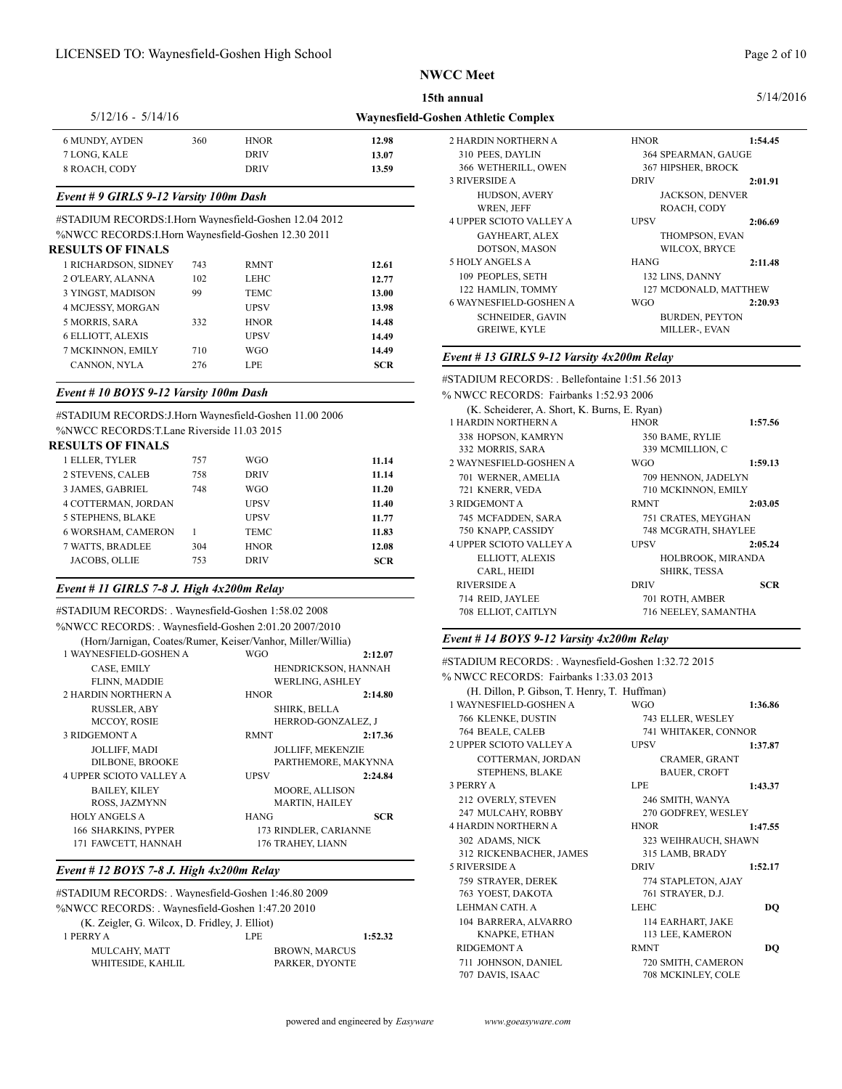# Page 2 of 10

5/14/2016

| $5/12/16 - 5/14/16$   |     |             |       | <b>Waynesfield-Goshen Athletic Complex</b> |
|-----------------------|-----|-------------|-------|--------------------------------------------|
| <b>6 MUNDY, AYDEN</b> | 360 | <b>HNOR</b> | 12.98 | 2 HARDIN NORTHERN A                        |
| 7 LONG, KALE          |     | <b>DRIV</b> | 13.07 | 310 PEES, DAYLIN                           |
| 8 ROACH, CODY         |     | <b>DRIV</b> | 13.59 | 366 WETHERILL, OWI                         |
|                       |     |             |       |                                            |

### *Event # 9 GIRLS 9-12 Varsity 100m Dash*

#STADIUM RECORDS:I.Horn Waynesfield-Goshen 12.04 2012 %NWCC RECORDS:I.Horn Waynesfield-Goshen 12.30 2011

#### **RESULTS OF FINALS**

| 1 RICHARDSON, SIDNEY     | 743 | <b>RMNT</b> | 12.61      | 5 HOLY ANGELS         |
|--------------------------|-----|-------------|------------|-----------------------|
| 2 O'LEARY, ALANNA        | 102 | LEHC        | 12.77      | 109 PEOPLES, S        |
| 3 YINGST, MADISON        | 99  | TEMC        | 13.00      | 122 HAMLIN, T         |
| 4 MCJESSY, MORGAN        |     | UPSV        | 13.98      | <b>6 WAYNESFIELD-</b> |
| 5 MORRIS, SARA           | 332 | <b>HNOR</b> | 14.48      | <b>SCHNEIDE</b>       |
| <b>6 ELLIOTT, ALEXIS</b> |     | UPSV        | 14.49      | <b>GREIWE, K</b>      |
| 7 MCKINNON, EMILY        | 710 | <b>WGO</b>  | 14.49      | Event # 13 GIRL       |
| CANNON, NYLA             | 276 | <b>LPE</b>  | <b>SCR</b> |                       |
|                          |     |             |            |                       |

### *Event # 10 BOYS 9-12 Varsity 100m Dash*

#STADIUM RECORDS:J.Horn Waynesfield-Goshen 11.00 2006 %NWCC RECORDS:T.Lane Riverside 11.03 2015

# **RESULTS OF FINALS**

|                           |     |             |            | 332 MORRIS, S.        |
|---------------------------|-----|-------------|------------|-----------------------|
| 1 ELLER, TYLER            | 757 | WGO         | 11.14      | 2 WAYNESFIELD-        |
| <b>2 STEVENS, CALEB</b>   | 758 | <b>DRIV</b> | 11.14      | 701 WERNER, A         |
| 3 JAMES, GABRIEL          | 748 | WGO         | 11.20      | 721 KNERR, VE         |
| 4 COTTERMAN, JORDAN       |     | <b>UPSV</b> | 11.40      | 3 RIDGEMONT A         |
| <b>5 STEPHENS, BLAKE</b>  |     | UPSV        | 11.77      | 745 MCFADDEI          |
| <b>6 WORSHAM, CAMERON</b> |     | TEMC        | 11.83      | 750 KNAPP, CA         |
| 7 WATTS, BRADLEE          | 304 | <b>HNOR</b> | 12.08      | <b>4 UPPER SCIOTO</b> |
| <b>JACOBS, OLLIE</b>      | 753 | <b>DRIV</b> | <b>SCR</b> | ELLIOTT, A            |
|                           |     |             |            | $CAPI$ HEI            |

# *Event # 11 GIRLS 7-8 J. High 4x200m Relay*

| #STADIUM RECORDS: . Waynesfield-Goshen 1:58.02 2008                                                                | 714 AEID, JATL<br>708 ELLIOT, CA                              |                                                            |                                                                         |
|--------------------------------------------------------------------------------------------------------------------|---------------------------------------------------------------|------------------------------------------------------------|-------------------------------------------------------------------------|
| %NWCC RECORDS: Waynesfield-Goshen 2:01.20 2007/2010<br>(Horn/Jarnigan, Coates/Rumer, Keiser/Vanhor, Miller/Willia) |                                                               |                                                            | Event # 14 BOY.                                                         |
| 1 WAYNESFIELD-GOSHEN A<br>CASE, EMILY<br>FLINN, MADDIE                                                             | <b>WGO</b>                                                    | 2:12.07<br>HENDRICKSON, HANNAH<br><b>WERLING, ASHLEY</b>   | #STADIUM RECC<br>% NWCC RECOR                                           |
| 2 HARDIN NORTHERN A<br><b>RUSSLER, ABY</b><br>MCCOY, ROSIE                                                         | <b>HNOR</b><br>SHIRK, BELLA                                   | 2:14.80<br>HERROD-GONZALEZ, J                              | (H. Dillon, P.<br>1 WAYNESFIELD-<br>766 KLENKE, D                       |
| 3 RIDGEMONT A<br><b>JOLLIFF, MADI</b><br>DILBONE, BROOKE                                                           | <b>RMNT</b>                                                   | 2:17.36<br><b>JOLLIFF, MEKENZIE</b><br>PARTHEMORE, MAKYNNA | 764 BEALE, CA<br><b>2 UPPER SCIOTO</b><br><b>COTTERMA</b>               |
| <b>4 UPPER SCIOTO VALLEY A</b><br><b>BAILEY, KILEY</b><br>ROSS, JAZMYNN                                            | <b>UPSV</b><br><b>MOORE, ALLISON</b><br><b>MARTIN, HAILEY</b> | 2:24.84                                                    | <b>STEPHENS.</b><br>3 PERRY A<br>212 OVERLY, ST                         |
| <b>HOLY ANGELS A</b><br>166 SHARKINS, PYPER<br>171 FAWCETT, HANNAH                                                 | <b>HANG</b><br>173 RINDLER, CARIANNE<br>176 TRAHEY, LIANN     | <b>SCR</b>                                                 | 247 MULCAHY.<br><b>4 HARDIN NORTH</b><br>302 ADAMS, NI<br>212.555777777 |

## *Event # 12 BOYS 7-8 J. High 4x200m Relay*

| #STADIUM RECORDS: Waynesfield-Goshen 1:46.80 2009 |                      |         | 763 Y        |
|---------------------------------------------------|----------------------|---------|--------------|
| %NWCC RECORDS: Waynesfield-Goshen 1:47.20 2010    |                      |         | <b>LEHM</b>  |
| (K. Zeigler, G. Wilcox, D. Fridley, J. Elliot)    |                      |         | 104 B.       |
| 1 PERRY A                                         | LPE                  | 1:52.32 | K            |
| MULCAHY, MATT                                     | <b>BROWN. MARCUS</b> |         | <b>RIDGE</b> |
| WHITESIDE, KAHLIL                                 | PARKER, DYONTE       |         | $711$ JC     |
|                                                   |                      |         |              |

| 2 HARDIN NORTHERN A     | <b>HNOR</b>           | 1:54.45                |
|-------------------------|-----------------------|------------------------|
| 310 PEES, DAYLIN        | 364 SPEARMAN, GAUGE   |                        |
| 366 WETHERILL, OWEN     | 367 HIPSHER, BROCK    |                        |
| 3 RIVERSIDE A           | <b>DRIV</b>           | 2:01.91                |
| HUDSON, AVERY           |                       | <b>JACKSON, DENVER</b> |
| WREN, JEFF              | ROACH, CODY           |                        |
| 4 UPPER SCIOTO VALLEY A | <b>UPSV</b>           | 2:06.69                |
| <b>GAYHEART, ALEX</b>   | THOMPSON, EVAN        |                        |
| DOTSON, MASON           | WILCOX, BRYCE         |                        |
| 5 HOLY ANGELS A         | <b>HANG</b>           | 2:11.48                |
| 109 PEOPLES, SETH       | 132 LINS, DANNY       |                        |
| 122 HAMLIN, TOMMY       |                       | 127 MCDONALD, MATTHEW  |
| 6 WAYNESFIELD-GOSHEN A  | <b>WGO</b>            | 2:20.93                |
| <b>SCHNEIDER, GAVIN</b> | <b>BURDEN, PEYTON</b> |                        |
| <b>GREIWE, KYLE</b>     | MILLER-, EVAN         |                        |
|                         |                       |                        |

## *Event # 13 GIRLS 9-12 Varsity 4x200m Relay*

#STADIUM RECORDS: . Bellefontaine 1:51.56 2013

| % NWCC RECORDS: Fairbanks 1:52.93 2006       |                      |                   |
|----------------------------------------------|----------------------|-------------------|
| (K. Scheiderer, A. Short, K. Burns, E. Ryan) |                      |                   |
| 1 HARDIN NORTHERN A                          | <b>HNOR</b>          | 1:57.56           |
| 338 HOPSON, KAMRYN                           | 350 BAME, RYLIE      |                   |
| 332 MORRIS, SARA                             | 339 MCMILLION, C     |                   |
| 2 WAYNESFIELD-GOSHEN A                       | <b>WGO</b>           | 1:59.13           |
| 701 WERNER, AMELIA                           | 709 HENNON, JADELYN  |                   |
| 721 KNERR, VEDA                              | 710 MCKINNON, EMILY  |                   |
| <b>3 RIDGEMONT A</b>                         | <b>RMNT</b>          | 2:03.05           |
| 745 MCFADDEN, SARA                           | 751 CRATES, MEYGHAN  |                   |
| 750 KNAPP, CASSIDY                           | 748 MCGRATH, SHAYLEE |                   |
| <b>4 UPPER SCIOTO VALLEY A</b>               | <b>UPSV</b>          | 2:05.24           |
| ELLIOTT, ALEXIS                              |                      | HOLBROOK, MIRANDA |
| CARL, HEIDI                                  | <b>SHIRK, TESSA</b>  |                   |
| <b>RIVERSIDE A</b>                           | <b>DRIV</b>          | <b>SCR</b>        |
| 714 REID, JAYLEE                             | 701 ROTH, AMBER      |                   |
| 708 ELLIOT, CAITLYN                          | 716 NEELEY, SAMANTHA |                   |
|                                              |                      |                   |

### *Event # 14 BOYS 9-12 Varsity 4x200m Relay*

#STADIUM RECORDS: . Waynesfield-Goshen 1:32.72 2015 % NWCC RECORDS: Fairbanks 1:33.03 2013 (H. Dillon, P. Gibson, T. Henry, T. Huffman) 1 WAYNESFIELD-GOSHEN A WGO **1:36.86** 766 KLENKE, DUSTIN 743 ELLER, WESLEY 764 BEALE, CALEB 741 WHITAKER, CONNOR 2 UPPER SCIOTO VALLEY A UPSV 1:37.87 COTTERMAN, JORDAN CRAMER, GRANT STEPHENS, BLAKE BAUER, CROFT 3 PERRY A LPE **1:43.37** 212 OVERLY, STEVEN 246 SMITH, WANYA 247 MULCAHY, ROBBY 270 GODFREY, WESLEY 4 HARDIN NORTHERN A HNOR **1:47.55** 302 ADAMS, NICK 323 WEIHRAUCH, SHAWN 312 RICKENBACHER, JAMES 315 LAMB, BRADY 5 RIVERSIDE A DRIV 1:52.17 759 STRAYER, DEREK 774 STAPLETON, AJAY 763 YOEST, DAKOTA 761 STRAYER, D.J. LEHMAN CATH. A LEHC **DQ** 104 BARRERA, ALVARRO 114 EARHART, JAKE KNAPKE, ETHAN 113 LEE, KAMERON RIDGEMONT A RMNT **DQ** 711 JOHNSON, DANIEL 720 SMITH, CAMERON 707 DAVIS, ISAAC 708 MCKINLEY, COLE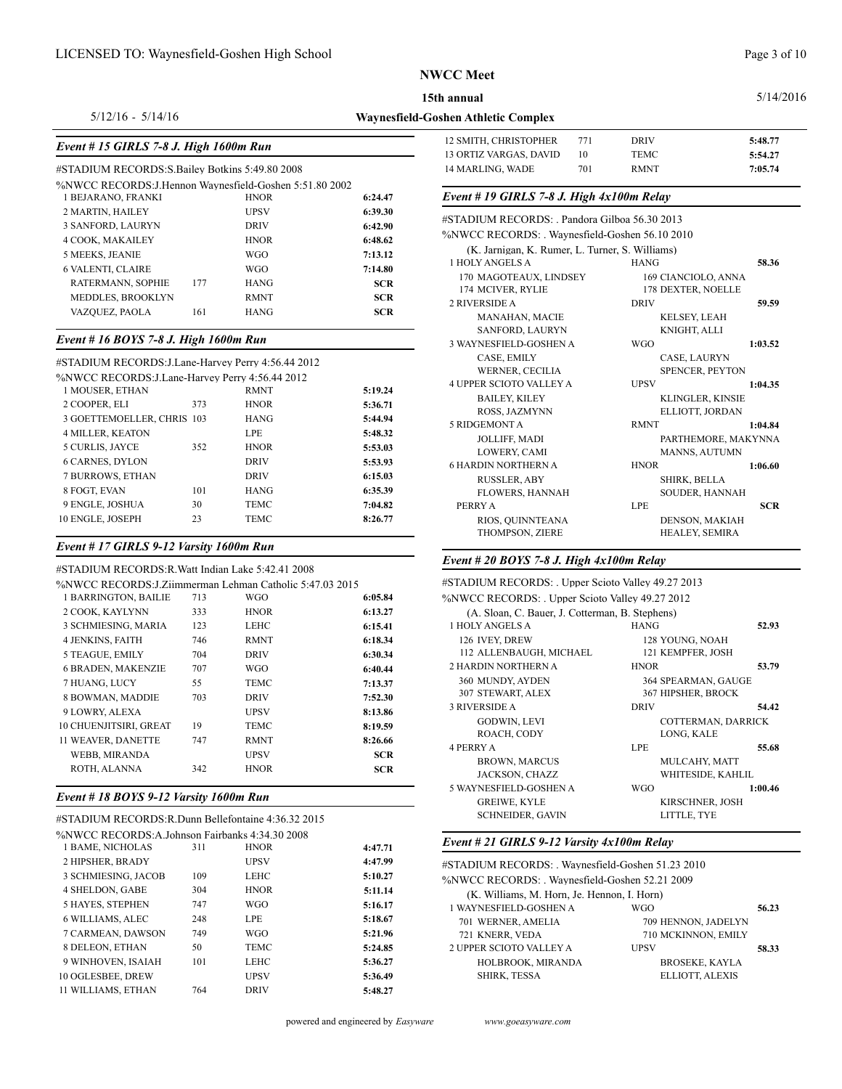#### 5/14/2016

5/12/16 - 5/14/16

# *Event # 15 GIRLS 7-8 J. High 1600m Run*

#### #STADIUM RECORDS:S.Bailey Botkins 5:49.80 2008

| %NWCC RECORDS: J.Hennon Wavnesfield-Goshen 5:51.80 2002 |  |
|---------------------------------------------------------|--|
|---------------------------------------------------------|--|

| 1 BEJARANO, FRANKI       |     | <b>HNOR</b> | 6:24.47    | Event # 19 GIRLS 7-8 J. High $4x100m$ Relay     |                                           |      |
|--------------------------|-----|-------------|------------|-------------------------------------------------|-------------------------------------------|------|
| 2 MARTIN, HAILEY         |     | <b>UPSV</b> | 6:39.30    | #STADIUM RECORDS: Pandora Gilboa 56.30 2013     |                                           |      |
| 3 SANFORD, LAURYN        |     | <b>DRIV</b> | 6:42.90    |                                                 |                                           |      |
| 4 COOK, MAKAILEY         |     | <b>HNOR</b> | 6:48.62    | %NWCC RECORDS: Wavnesfield-Goshen 56.10 2010    |                                           |      |
| 5 MEEKS, JEANIE          |     | <b>WGO</b>  | 7:13.12    | (K. Jarnigan, K. Rumer, L. Turner, S. Williams) |                                           |      |
| <b>6 VALENTI, CLAIRE</b> |     | <b>WGO</b>  | 7:14.80    | 1 HOLY ANGELS A                                 | HANG                                      | 58.3 |
| RATERMANN, SOPHIE        | 177 | HANG        | <b>SCR</b> | 170 MAGOTEAUX, LINDSEY<br>174 MCIVER, RYLIE     | 169 CIANCIOLO, ANNA<br>178 DEXTER, NOELLE |      |
| MEDDLES, BROOKLYN        |     | <b>RMNT</b> | <b>SCR</b> | <b>2 RIVERSIDE A</b>                            | <b>DRIV</b>                               | 59.5 |
| VAZQUEZ, PAOLA           | 161 | HANG        | <b>SCR</b> | <b>MANAHAN, MACIE</b>                           | <b>KELSEY, LEAH</b>                       |      |

# *Event # 16 BOYS 7-8 J. High 1600m Run*

### #STADIUM RECORDS:J.Lane-Harvey Perry 4:56.44 2012

| w              |         |             |     | %NWCC RECORDS: J.Lane-Harvey Perry 4:56.44 2012 |
|----------------|---------|-------------|-----|-------------------------------------------------|
| <b>4 UPPER</b> | 5:19.24 | <b>RMNT</b> |     | 1 MOUSER, ETHAN                                 |
| B.             | 5:36.71 | <b>HNOR</b> | 373 | 2 COOPER, ELI                                   |
| R<br>5 RIDGE   | 5:44.94 | <b>HANG</b> |     | 3 GOETTEMOELLER, CHRIS 103                      |
| J              | 5:48.32 | <b>LPE</b>  |     | <b>4 MILLER, KEATON</b>                         |
| L              | 5:53.03 | <b>HNOR</b> | 352 | 5 CURLIS, JAYCE                                 |
| 6 HARD         | 5:53.93 | <b>DRIV</b> |     | <b>6 CARNES, DYLON</b>                          |
| R              | 6:15.03 | <b>DRIV</b> |     | 7 BURROWS, ETHAN                                |
| FI             | 6:35.39 | <b>HANG</b> | 101 | 8 FOGT, EVAN                                    |
| <b>PERRY</b>   | 7:04.82 | <b>TEMC</b> | 30  | 9 ENGLE, JOSHUA                                 |
| R              | 8:26.77 | TEMC        | 23  | 10 ENGLE, JOSEPH                                |
|                |         |             |     |                                                 |

# *Event # 17 GIRLS 9-12 Varsity 1600m Run*

| #STADIUM RECORDS:R.Watt Indian Lake 5:42.41 2008         |     |             |            | $\bm{L}$ rchi it av DV i i |
|----------------------------------------------------------|-----|-------------|------------|----------------------------|
| %NWCC RECORDS: J.Ziimmerman Lehman Catholic 5:47.03 2015 |     |             |            | #STADIUM RECC              |
| 1 BARRINGTON, BAILIE                                     | 713 | <b>WGO</b>  | 6:05.84    | %NWCC RECORI               |
| 2 COOK, KAYLYNN                                          | 333 | <b>HNOR</b> | 6:13.27    | $(A.$ Sloan, $C.$          |
| 3 SCHMIESING, MARIA                                      | 123 | <b>LEHC</b> | 6:15.41    | 1 HOLY ANGELS              |
| <b>4 JENKINS, FAITH</b>                                  | 746 | <b>RMNT</b> | 6:18.34    | 126 IVEY, DREV             |
| 5 TEAGUE, EMILY                                          | 704 | <b>DRIV</b> | 6:30.34    | 112 ALLENBAI               |
| <b>6 BRADEN, MAKENZIE</b>                                | 707 | <b>WGO</b>  | 6:40.44    | <b>2 HARDIN NORTH</b>      |
| 7 HUANG, LUCY                                            | 55  | <b>TEMC</b> | 7:13.37    | 360 MUNDY, A'              |
| 8 BOWMAN, MADDIE                                         | 703 | <b>DRIV</b> | 7:52.30    | 307 STEWART,               |
| 9 LOWRY, ALEXA                                           |     | <b>UPSV</b> | 8:13.86    | <b>3 RIVERSIDE A</b>       |
| 10 CHUENJITSIRI, GREAT                                   | 19  | <b>TEMC</b> | 8:19.59    | GODWIN, I                  |
| 11 WEAVER, DANETTE                                       | 747 | <b>RMNT</b> | 8:26.66    | ROACH, CO                  |
| WEBB, MIRANDA                                            |     | <b>UPSV</b> | <b>SCR</b> | <b>4 PERRY A</b>           |
| ROTH, ALANNA                                             | 342 | <b>HNOR</b> | <b>SCR</b> | BROWN, M<br>JACKSON,       |
|                                                          |     |             |            |                            |

### *Event # 18 BOYS 9-12 Varsity 1600m Run*

## #STADIUM RECORDS:R.Dunn Bellefontaine 4:36.32 2015

| %NWCC RECORDS:A.Johnson Fairbanks 4:34.30 2008 |     |             |         |               |
|------------------------------------------------|-----|-------------|---------|---------------|
| 1 BAME, NICHOLAS                               | 311 | <b>HNOR</b> | 4:47.71 | Event #       |
| 2 HIPSHER, BRADY                               |     | <b>UPSV</b> | 4:47.99 | #STADIU       |
| 3 SCHMIESING, JACOB                            | 109 | LEHC        | 5:10.27 | %NWCC         |
| <b>4 SHELDON, GABE</b>                         | 304 | <b>HNOR</b> | 5:11.14 | $(K_{\cdot})$ |
| <b>5 HAYES, STEPHEN</b>                        | 747 | <b>WGO</b>  | 5:16.17 | 1 WAYN        |
| <b>6 WILLIAMS, ALEC</b>                        | 248 | <b>LPE</b>  | 5:18.67 | 701 W         |
| 7 CARMEAN, DAWSON                              | 749 | <b>WGO</b>  | 5:21.96 | 721 K         |
| 8 DELEON, ETHAN                                | 50  | TEMC        | 5:24.85 | 2 UPPER       |
| 9 WINHOVEN, ISAIAH                             | 101 | <b>LEHC</b> | 5:36.27 | H             |
| 10 OGLESBEE, DREW                              |     | <b>UPSV</b> | 5:36.49 | <sup>S</sup>  |
| 11 WILLIAMS, ETHAN                             | 764 | <b>DRIV</b> | 5:48.27 |               |

| Waynesfield-Goshen Athletic Complex |  |
|-------------------------------------|--|
|-------------------------------------|--|

| 12 SMITH, CHRISTOPHER  | 771 | <b>DRIV</b> | 5:48.77 |
|------------------------|-----|-------------|---------|
| 13 ORTIZ VARGAS, DAVID |     | TEMC        | 5:54.27 |
| 14 MARLING, WADE       | 701 | <b>RMNT</b> | 7:05.74 |

| #STADIUM RECORDS: . Pandora Gilboa 56.30 2013   |                         |                     |
|-------------------------------------------------|-------------------------|---------------------|
| %NWCC RECORDS: Waynesfield-Goshen 56.10 2010    |                         |                     |
| (K. Jarnigan, K. Rumer, L. Turner, S. Williams) |                         |                     |
| 1 HOLY ANGELS A                                 | <b>HANG</b>             | 58.36               |
| 170 MAGOTEAUX, LINDSEY                          | 169 CIANCIOLO, ANNA     |                     |
| 174 MCIVER, RYLIE                               | 178 DEXTER, NOELLE      |                     |
| 2 RIVERSIDE A                                   | <b>DRIV</b>             | 59.59               |
| MANAHAN, MACIE                                  | <b>KELSEY, LEAH</b>     |                     |
| SANFORD, LAURYN                                 | KNIGHT, ALLI            |                     |
| 3 WAYNESFIELD-GOSHEN A                          | <b>WGO</b>              | 1:03.52             |
| CASE, EMILY                                     | CASE, LAURYN            |                     |
| <b>WERNER, CECILIA</b>                          | SPENCER, PEYTON         |                     |
| <b>4 UPPER SCIOTO VALLEY A</b>                  | <b>UPSV</b>             | 1:04.35             |
| <b>BAILEY, KILEY</b>                            | <b>KLINGLER, KINSIE</b> |                     |
| <b>ROSS. JAZMYNN</b>                            | ELLIOTT, JORDAN         |                     |
| 5 RIDGEMONT A                                   | <b>RMNT</b>             | 1:04.84             |
| <b>JOLLIFF, MADI</b>                            |                         | PARTHEMORE, MAKYNNA |
| <b>LOWERY, CAMI</b>                             | <b>MANNS, AUTUMN</b>    |                     |
| <b>6 HARDIN NORTHERN A</b>                      | <b>HNOR</b>             | 1:06.60             |
| <b>RUSSLER, ABY</b>                             | <b>SHIRK, BELLA</b>     |                     |
| <b>FLOWERS, HANNAH</b>                          | <b>SOUDER, HANNAH</b>   |                     |
| PERRY A                                         | <b>LPE</b>              | <b>SCR</b>          |
| RIOS, QUINNTEANA                                | <b>DENSON, MAKIAH</b>   |                     |
| THOMPSON, ZIERE                                 | HEALEY, SEMIRA          |                     |

# *Event # 20 BOYS 7-8 J. High 4x100m Relay*

| #STADIUM RECORDS: Upper Scioto Valley 49.27 2013 |                     |         |  |
|--------------------------------------------------|---------------------|---------|--|
| %NWCC RECORDS: . Upper Scioto Valley 49.27 2012  |                     |         |  |
| (A. Sloan, C. Bauer, J. Cotterman, B. Stephens)  |                     |         |  |
| 1 HOLY ANGELS A                                  | <b>HANG</b>         | 52.93   |  |
| 126 IVEY, DREW                                   | 128 YOUNG, NOAH     |         |  |
| 112 ALLENBAUGH, MICHAEL                          | 121 KEMPFER, JOSH   |         |  |
| 2 HARDIN NORTHERN A                              | <b>HNOR</b>         | 53.79   |  |
| 360 MUNDY, AYDEN                                 | 364 SPEARMAN, GAUGE |         |  |
| 307 STEWART, ALEX                                | 367 HIPSHER, BROCK  |         |  |
| <b>3 RIVERSIDE A</b>                             | <b>DRIV</b>         | 54.42   |  |
| <b>GODWIN, LEVI</b>                              | COTTERMAN, DARRICK  |         |  |
| ROACH, CODY                                      | LONG, KALE          |         |  |
| <b>4 PERRY A</b>                                 | <b>LPE</b>          | 55.68   |  |
| <b>BROWN, MARCUS</b>                             | MULCAHY, MATT       |         |  |
| JACKSON, CHAZZ                                   | WHITESIDE, KAHLIL   |         |  |
| 5 WAYNESFIELD-GOSHEN A                           | <b>WGO</b>          | 1:00.46 |  |
| <b>GREIWE, KYLE</b>                              | KIRSCHNER, JOSH     |         |  |
| <b>SCHNEIDER, GAVIN</b>                          | LITTLE, TYE         |         |  |

# *Event # 21 GIRLS 9-12 Varsity 4x100m Relay*

| #STADIUM RECORDS: . Waynesfield-Goshen 51.23 2010 |             |                       |       |  |
|---------------------------------------------------|-------------|-----------------------|-------|--|
| %NWCC RECORDS: Waynesfield-Goshen 52.21 2009      |             |                       |       |  |
| (K. Williams, M. Horn, Je. Hennon, I. Horn)       |             |                       |       |  |
| 1 WAYNESFIELD-GOSHEN A                            | WGO         |                       | 56.23 |  |
| 701 WERNER, AMELIA                                |             | 709 HENNON, JADELYN   |       |  |
| 721 KNERR, VEDA                                   |             | 710 MCKINNON, EMILY   |       |  |
| 2 UPPER SCIOTO VALLEY A                           | <b>UPSV</b> |                       | 58.33 |  |
| HOLBROOK, MIRANDA                                 |             | <b>BROSEKE, KAYLA</b> |       |  |
| <b>SHIRK, TESSA</b>                               |             | ELLIOTT, ALEXIS       |       |  |
|                                                   |             |                       |       |  |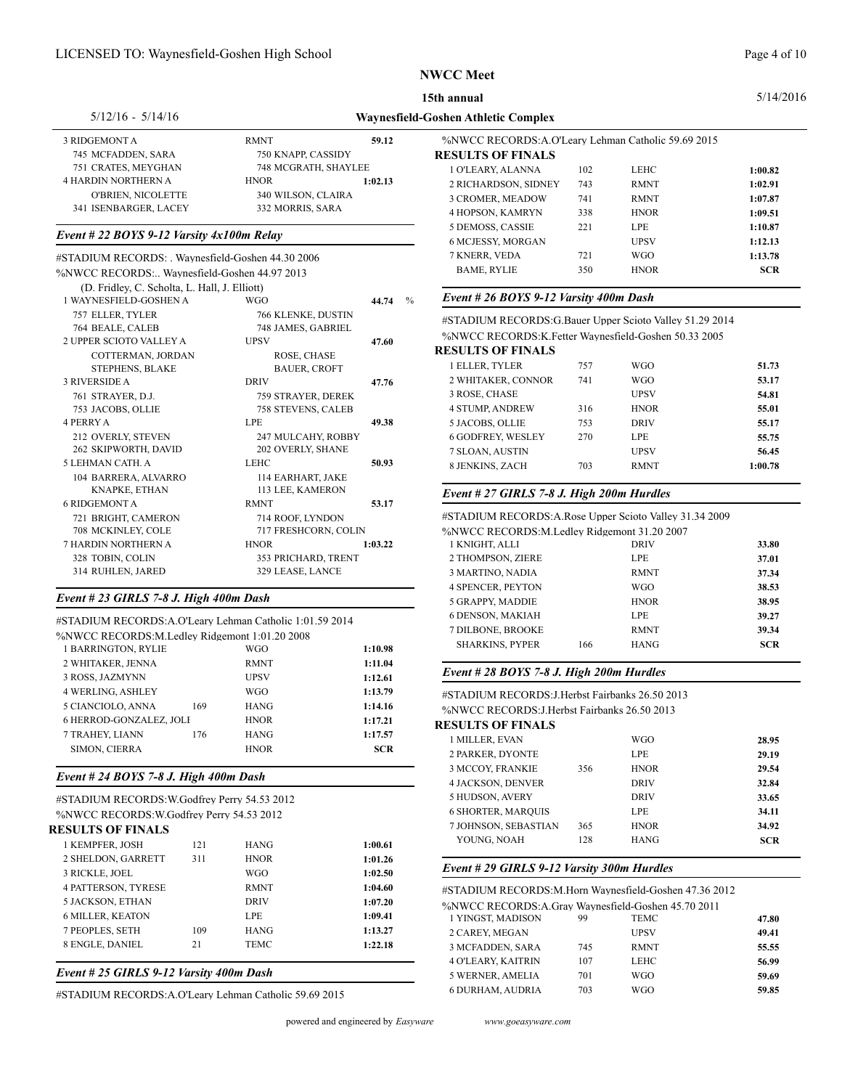**15th annual**

| $5/12/16 - 5/14/16$        |                      |         | Waynesfield-Goshen Athl |  |
|----------------------------|----------------------|---------|-------------------------|--|
| 3 RIDGEMONT A              | <b>RMNT</b>          | 59.12   | %NWCC                   |  |
| 745 MCFADDEN, SARA         | 750 KNAPP, CASSIDY   |         | <b>RESULTS</b>          |  |
| 751 CRATES, MEYGHAN        | 748 MCGRATH, SHAYLEE |         | 1 O'LEA                 |  |
| <b>4 HARDIN NORTHERN A</b> | <b>HNOR</b>          | 1:02.13 | 2 RICHA                 |  |
| O'BRIEN, NICOLETTE         | 340 WILSON, CLAIRA   |         | 3 CROM                  |  |
| 341 ISENBARGER, LACEY      | 332 MORRIS, SARA     |         | 4 HOPSC                 |  |

### *Event # 22 BOYS 9-12 Varsity 4x100m Relay*

| #STADIUM RECORDS: . Waynesfield-Goshen 44.30 2006 |                      |                      | 7 KNERR, VEDA                                           | 721 | WGO.        | 1:13.78    |
|---------------------------------------------------|----------------------|----------------------|---------------------------------------------------------|-----|-------------|------------|
| %NWCC RECORDS: Wavnesfield-Goshen 44.97 2013      |                      |                      | <b>BAME, RYLIE</b>                                      | 350 | <b>HNOR</b> | <b>SCR</b> |
| (D. Fridley, C. Scholta, L. Hall, J. Elliott)     |                      |                      |                                                         |     |             |            |
| 1 WAYNESFIELD-GOSHEN A                            | <b>WGO</b>           | $^{0}/_{0}$<br>44.74 | Event # 26 BOYS 9-12 Varsity 400m Dash                  |     |             |            |
| 757 ELLER, TYLER                                  | 766 KLENKE, DUSTIN   |                      | #STADIUM RECORDS:G.Bauer Upper Scioto Valley 51.29 2014 |     |             |            |
| 764 BEALE, CALEB                                  | 748 JAMES, GABRIEL   |                      |                                                         |     |             |            |
| 2 UPPER SCIOTO VALLEY A                           | <b>UPSV</b>          | 47.60                | %NWCC RECORDS: K. Fetter Waynesfield-Goshen 50.33 2005  |     |             |            |
| COTTERMAN, JORDAN                                 | ROSE, CHASE          |                      | <b>RESULTS OF FINALS</b>                                |     |             |            |
| <b>STEPHENS, BLAKE</b>                            | <b>BAUER, CROFT</b>  |                      | 1 ELLER, TYLER                                          | 757 | <b>WGO</b>  | 51.73      |
| 3 RIVERSIDE A                                     | <b>DRIV</b>          | 47.76                | 2 WHITAKER, CONNOR                                      | 741 | <b>WGO</b>  | 53.17      |
| 761 STRAYER, D.J.                                 | 759 STRAYER, DEREK   |                      | 3 ROSE, CHASE                                           |     | <b>UPSV</b> | 54.81      |
| 753 JACOBS, OLLIE                                 | 758 STEVENS, CALEB   |                      | <b>4 STUMP, ANDREW</b>                                  | 316 | <b>HNOR</b> | 55.01      |
| <b>4 PERRY A</b>                                  | <b>LPE</b>           | 49.38                | 5 JACOBS, OLLIE                                         | 753 | <b>DRIV</b> | 55.17      |
| 212 OVERLY, STEVEN                                | 247 MULCAHY, ROBBY   |                      | <b>6 GODFREY, WESLEY</b>                                | 270 | LPE         | 55.75      |
| 262 SKIPWORTH, DAVID                              | 202 OVERLY, SHANE    |                      | 7 SLOAN, AUSTIN                                         |     | <b>UPSV</b> | 56.45      |
| 5 LEHMAN CATH. A                                  | <b>LEHC</b>          | 50.93                | 8 JENKINS, ZACH                                         | 703 | <b>RMNT</b> | 1:00.78    |
| 104 BARRERA, ALVARRO                              | 114 EARHART, JAKE    |                      |                                                         |     |             |            |
| KNAPKE, ETHAN                                     | 113 LEE, KAMERON     |                      | Event $\#$ 27 GIRLS 7-8 J. High 200m Hurdles            |     |             |            |
| <b>6 RIDGEMONT A</b>                              | <b>RMNT</b>          | 53.17                |                                                         |     |             |            |
| 721 BRIGHT, CAMERON                               | 714 ROOF, LYNDON     |                      | #STADIUM RECORDS: A.Rose Upper Scioto Valley 31.34 2009 |     |             |            |
| 708 MCKINLEY, COLE                                | 717 FRESHCORN, COLIN |                      | %NWCC RECORDS: M. Ledley Ridgemont 31.20 2007           |     |             |            |
| 7 HARDIN NORTHERN A                               | <b>HNOR</b>          | 1:03.22              | 1 KNIGHT, ALLI                                          |     | <b>DRIV</b> | 33.80      |
| 328 TOBIN, COLIN                                  | 353 PRICHARD, TRENT  |                      | 2 THOMPSON, ZIERE                                       |     | <b>LPE</b>  | 37.01      |
| 314 RUHLEN, JARED                                 | 329 LEASE, LANCE     |                      | 3 MARTINO, NADIA                                        |     | <b>RMNT</b> | 37.34      |
|                                                   |                      |                      |                                                         |     |             |            |

### *Event # 23 GIRLS 7-8 J. High 400m Dash*

| #STADIUM RECORDS:A.O'Leary Lehman Catholic 1:01.59 2014<br>%NWCC RECORDS:M.Ledlev Ridgemont 1:01.20 2008<br>1 BARRINGTON, RYLIE |     | <b>WGO</b>                         | 1:10.98                          | <b>6 DENSON, MAKIAH</b><br>7 DILBONE, BROOKE<br><b>SHARKINS, PYPER</b>                           | 166 | LPE<br><b>RMNT</b><br><b>HANG</b> | 39.27<br>39.34<br><b>SCR</b> |
|---------------------------------------------------------------------------------------------------------------------------------|-----|------------------------------------|----------------------------------|--------------------------------------------------------------------------------------------------|-----|-----------------------------------|------------------------------|
| 2 WHITAKER, JENNA<br>3 ROSS, JAZMYNN                                                                                            |     | <b>RMNT</b><br><b>UPSV</b>         | 1:11.04<br>1:12.61               | Event # 28 BOYS 7-8 J. High $200m$ Hurdles                                                       |     |                                   |                              |
| <b>4 WERLING, ASHLEY</b><br>5 CIANCIOLO, ANNA                                                                                   | 169 | <b>WGO</b><br><b>HANG</b>          | 1:13.79<br>1:14.16               | #STADIUM RECORDS: J.Herbst Fairbanks 26.50 2013<br>%NWCC RECORDS: J. Herbst Fairbanks 26.50 2013 |     |                                   |                              |
| 6 HERROD-GONZALEZ, JOLI<br>7 TRAHEY, LIANN<br><b>SIMON, CIERRA</b>                                                              | 176 | <b>HNOR</b><br>HANG<br><b>HNOR</b> | 1:17.21<br>1:17.57<br><b>SCR</b> | <b>RESULTS OF FINALS</b><br>1 MILLER, EVAN<br>2 PARKER, DYONTE                                   |     | <b>WGO</b><br>LPE                 | 28.95                        |
|                                                                                                                                 |     |                                    |                                  |                                                                                                  |     |                                   | 29.19                        |

### *Event # 24 BOYS 7-8 J. High 400m Dash*

| #STADIUM RECORDS:W.Godfrev Perry 54.53 2012 |  |
|---------------------------------------------|--|
| %NWCC RECORDS: W.Godfrev Perry 54.53 2012   |  |

| <b>RESULTS OF FINALS</b>   |     |             |         | 7 JOHNS |
|----------------------------|-----|-------------|---------|---------|
| 1 KEMPFER, JOSH            | 121 | <b>HANG</b> | 1:00.61 | YOUN    |
| 2 SHELDON, GARRETT         | 311 | <b>HNOR</b> | 1:01.26 |         |
| 3 RICKLE, JOEL             |     | WGO         | 1:02.50 | Event # |
| <b>4 PATTERSON. TYRESE</b> |     | <b>RMNT</b> | 1:04.60 | #STADIU |
| <b>5 JACKSON, ETHAN</b>    |     | <b>DRIV</b> | 1:07.20 | %NWCC   |
| <b>6 MILLER, KEATON</b>    |     | LPE.        | 1:09.41 | 1 YINGS |
| 7 PEOPLES, SETH            | 109 | <b>HANG</b> | 1:13.27 | 2 CARE  |
| <b>8 ENGLE, DANIEL</b>     | 21  | TEMC        | 1:22.18 | 3 MCFAI |

#### *Event # 25 GIRLS 9-12 Varsity 400m Dash*

#STADIUM RECORDS:A.O'Leary Lehman Catholic 59.69 2015

| ld-Goshen Athletic Complex                         |     |             |            |  |  |
|----------------------------------------------------|-----|-------------|------------|--|--|
| %NWCC RECORDS:A.O'Leary Lehman Catholic 59.69 2015 |     |             |            |  |  |
| <b>RESULTS OF FINALS</b>                           |     |             |            |  |  |
| 1 O'LEARY, ALANNA                                  | 102 | LEHC        | 1:00.82    |  |  |
| 2 RICHARDSON, SIDNEY                               | 743 | <b>RMNT</b> | 1:02.91    |  |  |
| 3 CROMER, MEADOW                                   | 741 | <b>RMNT</b> | 1:07.87    |  |  |
| <b>4 HOPSON, KAMRYN</b>                            | 338 | <b>HNOR</b> | 1:09.51    |  |  |
| 5 DEMOSS, CASSIE                                   | 221 | LPE.        | 1:10.87    |  |  |
| 6 MCJESSY, MORGAN                                  |     | <b>UPSV</b> | 1:12.13    |  |  |
| 7 KNERR, VEDA                                      | 721 | <b>WGO</b>  | 1:13.78    |  |  |
| <b>BAME, RYLIE</b>                                 | 350 | <b>HNOR</b> | <b>SCR</b> |  |  |
|                                                    |     |             |            |  |  |

# **RESULTS OF FINALS**

| ерсенэ от тично          |     |             |         |
|--------------------------|-----|-------------|---------|
| 1 ELLER, TYLER           | 757 | WGO         | 51.73   |
| 2 WHITAKER, CONNOR       | 741 | <b>WGO</b>  | 53.17   |
| 3 ROSE, CHASE            |     | <b>UPSV</b> | 54.81   |
| <b>4 STUMP, ANDREW</b>   | 316 | <b>HNOR</b> | 55.01   |
| 5 JACOBS, OLLIE          | 753 | <b>DRIV</b> | 55.17   |
| <b>6 GODFREY, WESLEY</b> | 270 | LPE         | 55.75   |
| 7 SLOAN, AUSTIN          |     | <b>UPSV</b> | 56.45   |
| 8 JENKINS, ZACH          | 703 | <b>RMNT</b> | 1:00.78 |
|                          |     |             |         |

## *Event # 27 GIRLS 7-8 J. High 200m Hurdles*

| 2 THOMPSON, ZIERE        |     | LPE.        | 37.01      |
|--------------------------|-----|-------------|------------|
| 3 MARTINO, NADIA         |     | <b>RMNT</b> | 37.34      |
| <b>4 SPENCER, PEYTON</b> |     | WGO         | 38.53      |
| 5 GRAPPY, MADDIE         |     | <b>HNOR</b> | 38.95      |
| <b>6 DENSON, MAKIAH</b>  |     | LPE.        | 39.27      |
| <b>7 DILBONE, BROOKE</b> |     | <b>RMNT</b> | 39.34      |
| <b>SHARKINS, PYPER</b>   | 166 | <b>HANG</b> | <b>SCR</b> |
|                          |     |             |            |

# *Event # 28 BOYS 7-8 J. High 200m Hurdles*

| VESULTS UP PINALS         |     |             |            |
|---------------------------|-----|-------------|------------|
| 1 MILLER, EVAN            |     | WGO         | 28.95      |
| <b>2 PARKER, DYONTE</b>   |     | LPE.        | 29.19      |
| 3 MCCOY, FRANKIE          | 356 | <b>HNOR</b> | 29.54      |
| <b>4 JACKSON, DENVER</b>  |     | <b>DRIV</b> | 32.84      |
| 5 HUDSON, AVERY           |     | <b>DRIV</b> | 33.65      |
| <b>6 SHORTER, MARQUIS</b> |     | LPE.        | 34.11      |
| 7 JOHNSON, SEBASTIAN      | 365 | <b>HNOR</b> | 34.92      |
| YOUNG, NOAH               | 128 | <b>HANG</b> | <b>SCR</b> |
|                           |     |             |            |

# *Event # 29 GIRLS 9-12 Varsity 300m Hurdles*

#STADIUM RECORDS:M.Horn Waynesfield-Goshen 47.36 2012

| %NWCC RECORDS:A.Gray Waynesfield-Goshen 45.70 2011 |     |             |       |
|----------------------------------------------------|-----|-------------|-------|
| 1 YINGST, MADISON                                  | 99  | <b>TEMC</b> | 47.80 |
| 2 CAREY, MEGAN                                     |     | <b>UPSV</b> | 49.41 |
| 3 MCFADDEN, SARA                                   | 745 | <b>RMNT</b> | 55.55 |
| <b>4 O'LEARY, KAITRIN</b>                          | 107 | <b>LEHC</b> | 56.99 |
| 5 WERNER, AMELIA                                   | 701 | WGO         | 59.69 |
| <b>6 DURHAM, AUDRIA</b>                            | 703 | WGO.        | 59.85 |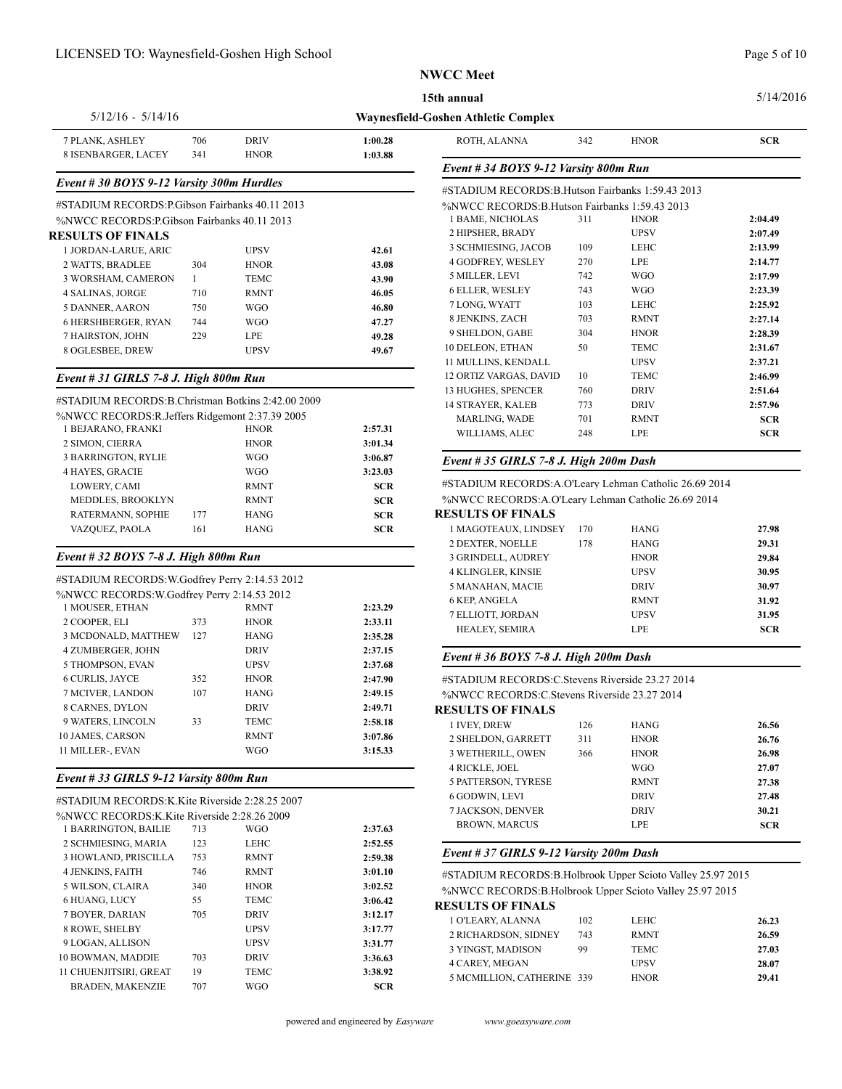#### 5/14/2016

#### **Waynesfield-Goshen Athletic Complex** 5/12/16 - 5/14/16 PLANK, ASHLEY 706 DRIV **1:00.28** ISENBARGER, LACEY 341 HNOR **1:03.88**

# *Event # 30 BOYS 9-12 Varsity 300m Hurdles*

| #STADIUM RECORDS: P. Gibson Fairbanks 40.11 2013 |     |             |       |              |  |  |  |
|--------------------------------------------------|-----|-------------|-------|--------------|--|--|--|
| %NWCC RECORDS: P.Gibson Fairbanks 40.11 2013     |     | 1 BAME      |       |              |  |  |  |
| <b>RESULTS OF FINALS</b>                         |     |             |       | 2 HIPSH      |  |  |  |
| 1 JORDAN-LARUE, ARIC                             |     | <b>UPSV</b> | 42.61 | 3 SCHM       |  |  |  |
| 2 WATTS, BRADLEE                                 | 304 | <b>HNOR</b> | 43.08 | 4 GODFI      |  |  |  |
| 3 WORSHAM, CAMERON                               | 1   | <b>TEMC</b> | 43.90 | 5 MILLE      |  |  |  |
| <b>4 SALINAS, JORGE</b>                          | 710 | <b>RMNT</b> | 46.05 | 6 ELLER      |  |  |  |
| <b>5 DANNER, AARON</b>                           | 750 | <b>WGO</b>  | 46.80 | 7 LONG.      |  |  |  |
| <b>6 HERSHBERGER, RYAN</b>                       | 744 | <b>WGO</b>  | 47.27 | 8 JENKI      |  |  |  |
| 7 HAIRSTON, JOHN                                 | 229 | <b>LPE</b>  | 49.28 | 9 SHELL      |  |  |  |
| 8 OGLESBEE, DREW                                 |     | <b>UPSV</b> | 49.67 | 10 DELEO     |  |  |  |
|                                                  |     |             |       | . . <b>.</b> |  |  |  |

# *Event # 31 GIRLS 7-8 J. High 800m Run*

|                                                     |     |             |                   | 13 HUUHES, SPENCER                                    | 70V         | <b>DKIV</b> | 4.51.04    |
|-----------------------------------------------------|-----|-------------|-------------------|-------------------------------------------------------|-------------|-------------|------------|
| #STADIUM RECORDS: B. Christman Botkins 2:42.00 2009 |     |             | 14 STRAYER, KALEB | 773                                                   | <b>DRIV</b> | 2:57.96     |            |
| %NWCC RECORDS: R. Jeffers Ridgemont 2:37.39 2005    |     |             |                   | <b>MARLING, WADE</b>                                  | 701         | <b>RMNT</b> | <b>SCR</b> |
| 1 BEJARANO, FRANKI                                  |     | <b>HNOR</b> | 2:57.31           | WILLIAMS, ALEC                                        | 248         | LPE         | <b>SCR</b> |
| 2 SIMON, CIERRA                                     |     | <b>HNOR</b> | 3:01.34           |                                                       |             |             |            |
| 3 BARRINGTON, RYLIE                                 |     | <b>WGO</b>  | 3:06.87           | Event # 35 GIRLS 7-8 J. High $200m$ Dash              |             |             |            |
| <b>4 HAYES, GRACIE</b>                              |     | <b>WGO</b>  | 3:23.03           |                                                       |             |             |            |
| LOWERY, CAMI                                        |     | <b>RMNT</b> | <b>SCR</b>        | #STADIUM RECORDS:A.O'Leary Lehman Catholic 26.69 2014 |             |             |            |
| MEDDLES, BROOKLYN                                   |     | <b>RMNT</b> | <b>SCR</b>        | %NWCC RECORDS:A.O'Leary Lehman Catholic 26.69 2014    |             |             |            |
| RATERMANN, SOPHIE                                   | 177 | <b>HANG</b> | <b>SCR</b>        | <b>RESULTS OF FINALS</b>                              |             |             |            |
| VAZQUEZ, PAOLA                                      | 161 | <b>HANG</b> | <b>SCR</b>        | 1 MAGOTEAUX, LINDSEY                                  | 170         | <b>HANG</b> | 27.98      |
|                                                     |     |             |                   |                                                       |             |             |            |

# *Event # 32 BOYS 7-8 J. High 800m Run*

## #STADIUM RECORDS:W.Godfrey Perry 2:14.53 2012 %NWCC RECORDS:W.Godfrey Perry 2:14.53 2012

| 1 MOUSER, ETHAN<br>2 COOPER, ELI<br>3 MCDONALD, MATTHEW       | 373<br>127 | <b>RMNT</b><br><b>HNOR</b><br><b>HANG</b> | 2:23.29<br>2:33.11<br>2:35.28 | 0 NEF, AINUELA<br>7 ELLIOTT, JORDAN<br>HEALEY, SEMIRA                                                                          |                   | IVIII I<br><b>UPSV</b><br>LPE             | 31.YZ<br>31.95<br><b>SCR</b> |
|---------------------------------------------------------------|------------|-------------------------------------------|-------------------------------|--------------------------------------------------------------------------------------------------------------------------------|-------------------|-------------------------------------------|------------------------------|
| 4 ZUMBERGER, JOHN<br>5 THOMPSON, EVAN                         |            | <b>DRIV</b><br>UPSV                       | 2:37.15<br>2:37.68            | Event # 36 BOYS 7-8 J. High $200m$ Dash                                                                                        |                   |                                           |                              |
| <b>6 CURLIS, JAYCE</b><br>7 MCIVER, LANDON<br>8 CARNES, DYLON | 352<br>107 | <b>HNOR</b><br><b>HANG</b><br><b>DRIV</b> | 2:47.90<br>2:49.15<br>2:49.71 | #STADIUM RECORDS: C. Stevens Riverside 23.27 2014<br>%NWCC RECORDS: C Stevens Riverside 23.27 2014<br><b>RESULTS OF FINALS</b> |                   |                                           |                              |
| 9 WATERS, LINCOLN<br>10 JAMES, CARSON<br>11 MILLER-, EVAN     | 33         | <b>TEMC</b><br><b>RMNT</b><br><b>WGO</b>  | 2:58.18<br>3:07.86<br>3:15.33 | 1 IVEY, DREW<br>2 SHELDON, GARRETT<br>3 WETHERILL, OWEN                                                                        | 126<br>311<br>366 | <b>HANG</b><br><b>HNOR</b><br><b>HNOR</b> | 26.56<br>26.76<br>26.98      |

# *Event # 33 GIRLS 9-12 Varsity 800m Run*

|--|

| 7 JAUNSUN, DEN        |            |             |     | %NWCC RECORDS:K.Kite Riverside 2:28.26 2009 |
|-----------------------|------------|-------------|-----|---------------------------------------------|
| <b>BROWN, MARC</b>    | 2:37.63    | <b>WGO</b>  | 713 | 1 BARRINGTON, BAILIE                        |
|                       | 2:52.55    | LEHC        | 123 | 2 SCHMIESING, MARIA                         |
| Event #37 GIRL        | 2:59.38    | <b>RMNT</b> | 753 | 3 HOWLAND, PRISCILLA                        |
| #STADIUM RECO         | 3:01.10    | <b>RMNT</b> | 746 | <b>4 JENKINS, FAITH</b>                     |
| %NWCC RECORI          | 3:02.52    | <b>HNOR</b> | 340 | 5 WILSON, CLAIRA                            |
| <b>RESULTS OF FIL</b> | 3:06.42    | <b>TEMC</b> | 55  | 6 HUANG, LUCY                               |
| 1 O'LEARY, ALAN       | 3:12.17    | <b>DRIV</b> | 705 | 7 BOYER, DARIAN                             |
| 2 RICHARDSON.         | 3:17.77    | <b>UPSV</b> |     | 8 ROWE, SHELBY                              |
| 3 YINGST, MADIS       | 3:31.77    | <b>UPSV</b> |     | 9 LOGAN, ALLISON                            |
| 4 CAREY, MEGAN        | 3:36.63    | <b>DRIV</b> | 703 | 10 BOWMAN, MADDIE                           |
| 5 MCMILLION, CA       | 3:38.92    | <b>TEMC</b> | 19  | <b>11 CHUENJITSIRI, GREAT</b>               |
|                       | <b>SCR</b> | <b>WGO</b>  | 707 | <b>BRADEN, MAKENZIE</b>                     |
|                       |            |             |     |                                             |

| ROTH, ALANNA                                       | 342 | <b>HNOR</b> | <b>SCR</b> |  |  |  |  |
|----------------------------------------------------|-----|-------------|------------|--|--|--|--|
| Event # 34 BOYS 9-12 Varsity 800m Run              |     |             |            |  |  |  |  |
| #STADIUM RECORDS: B. Hutson Fairbanks 1:59.43 2013 |     |             |            |  |  |  |  |
| %NWCC RECORDS:B.Hutson Fairbanks 1:59.43 2013      |     |             |            |  |  |  |  |
| 1 BAME, NICHOLAS                                   | 311 | <b>HNOR</b> | 2:04.49    |  |  |  |  |
| 2 HIPSHER, BRADY                                   |     | <b>UPSV</b> | 2:07.49    |  |  |  |  |
| 3 SCHMIESING, JACOB                                | 109 | <b>LEHC</b> | 2:13.99    |  |  |  |  |
| <b>4 GODFREY, WESLEY</b>                           | 270 | <b>LPE</b>  | 2:14.77    |  |  |  |  |
| 5 MILLER, LEVI                                     | 742 | <b>WGO</b>  | 2:17.99    |  |  |  |  |
| <b>6 ELLER, WESLEY</b>                             | 743 | <b>WGO</b>  | 2:23.39    |  |  |  |  |
| 7 LONG, WYATT                                      | 103 | <b>LEHC</b> | 2:25.92    |  |  |  |  |
| 8 JENKINS, ZACH                                    | 703 | <b>RMNT</b> | 2:27.14    |  |  |  |  |
| 9 SHELDON, GABE                                    | 304 | <b>HNOR</b> | 2:28.39    |  |  |  |  |
| 10 DELEON, ETHAN                                   | 50  | <b>TEMC</b> | 2:31.67    |  |  |  |  |
| 11 MULLINS, KENDALL                                |     | <b>UPSV</b> | 2:37.21    |  |  |  |  |
| 12 ORTIZ VARGAS, DAVID                             | 10  | <b>TEMC</b> | 2:46.99    |  |  |  |  |
| 13 HUGHES, SPENCER                                 | 760 | <b>DRIV</b> | 2:51.64    |  |  |  |  |
| <b>14 STRAYER, KALEB</b>                           | 773 | <b>DRIV</b> | 2:57.96    |  |  |  |  |
| <b>MARLING, WADE</b>                               | 701 | <b>RMNT</b> | <b>SCR</b> |  |  |  |  |
| WILLIAMS, ALEC                                     | 248 | <b>LPE</b>  | <b>SCR</b> |  |  |  |  |

| 1 MAGOTEAUX, LINDSEY      | 170 | <b>HANG</b> | 27.98      |
|---------------------------|-----|-------------|------------|
| <b>2 DEXTER. NOELLE</b>   | 178 | <b>HANG</b> | 29.31      |
| 3 GRINDELL, AUDREY        |     | <b>HNOR</b> | 29.84      |
| <b>4 KLINGLER, KINSIE</b> |     | <b>UPSV</b> | 30.95      |
| 5 MANAHAN, MACIE          |     | <b>DRIV</b> | 30.97      |
| 6 KEP, ANGELA             |     | <b>RMNT</b> | 31.92      |
| 7 ELLIOTT. JORDAN         |     | UPSV        | 31.95      |
| <b>HEALEY, SEMIRA</b>     |     | LPE.        | <b>SCR</b> |
|                           |     |             |            |

# *Event # 36 BOYS 7-8 J. High 200m Dash*

| 1 IVEY, DREW             | 126 | <b>HANG</b> | 26.56      |
|--------------------------|-----|-------------|------------|
| 2 SHELDON, GARRETT       | 311 | <b>HNOR</b> | 26.76      |
| <b>3 WETHERILL, OWEN</b> | 366 | <b>HNOR</b> | 26.98      |
| <b>4 RICKLE, JOEL</b>    |     | WGO         | 27.07      |
| 5 PATTERSON, TYRESE      |     | <b>RMNT</b> | 27.38      |
| 6 GODWIN, LEVI           |     | <b>DRIV</b> | 27.48      |
| <b>7 JACKSON, DENVER</b> |     | <b>DRIV</b> | 30.21      |
| <b>BROWN, MARCUS</b>     |     | LPE.        | <b>SCR</b> |
|                          |     |             |            |

### *Event # 37 GIRLS 9-12 Varsity 200m Dash*

#STADIUM RECORDS:B.Holbrook Upper Scioto Valley 25.97 2015 %NWCC RECORDS:B.Holbrook Upper Scioto Valley 25.97 2015

### **RESULTS OF FINALS**

| 1 O'LEARY. ALANNA          | 102 | <b>LEHC</b> | 26.23 |
|----------------------------|-----|-------------|-------|
| 2 RICHARDSON, SIDNEY       | 743 | <b>RMNT</b> | 26.59 |
| 3 YINGST, MADISON          | 99  | <b>TEMC</b> | 27.03 |
| <b>4 CAREY, MEGAN</b>      |     | <b>UPSV</b> | 28.07 |
| 5 MCMILLION, CATHERINE 339 |     | <b>HNOR</b> | 29.41 |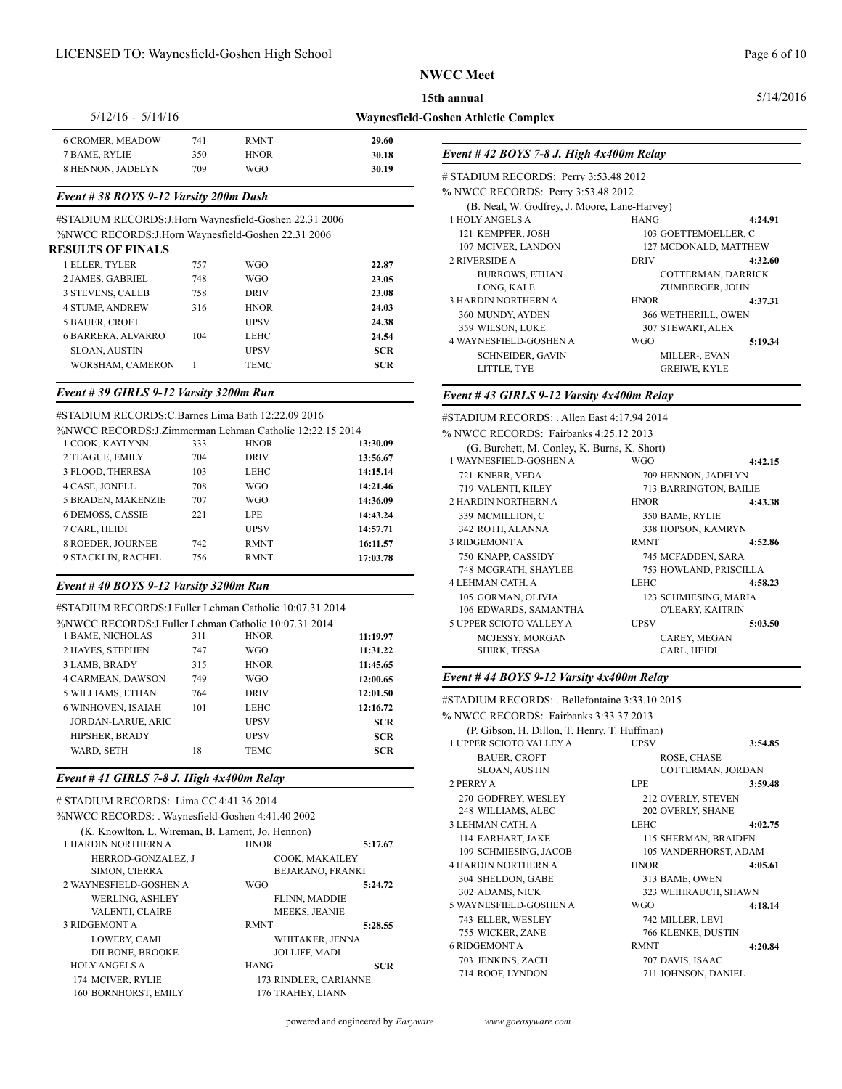**Waynesfield-Goshen Athletic Complex 15th annual**

| $5/12/16 - 5/14/16$     |     |             |       | Waynesfield-Goshen Athletic Complex       |
|-------------------------|-----|-------------|-------|-------------------------------------------|
| <b>6 CROMER, MEADOW</b> | 741 | <b>RMNT</b> | 29.60 |                                           |
| 7 BAME, RYLIE           | 350 | HNOR        | 30.18 | Event #42 BOYS 7-8 J. High $4x400m$ Relay |
| 8 HENNON, JADELYN       | 709 | WGO         | 30.19 |                                           |

# *Event # 38 BOYS 9-12 Varsity 200m Dash*

#STADIUM RECORDS:J.Horn Waynesfield-Goshen 22.31 2006

%NWCC RECORDS:J.Horn Waynesfield-Goshen 22.31 2006

| <b>RESULTS OF FINALS</b>  |     |             |            | 107 MCIVER, L         |
|---------------------------|-----|-------------|------------|-----------------------|
| 1 ELLER, TYLER            | 757 | <b>WGO</b>  | 22.87      | 2 RIVERSIDE A         |
| 2 JAMES, GABRIEL          | 748 | <b>WGO</b>  | 23.05      | <b>BURROWS</b>        |
| <b>3 STEVENS, CALEB</b>   | 758 | <b>DRIV</b> | 23.08      | LONG, KAI             |
| <b>4 STUMP, ANDREW</b>    | 316 | <b>HNOR</b> | 24.03      | <b>3 HARDIN NORTH</b> |
| 5 BAUER, CROFT            |     | <b>UPSV</b> | 24.38      | 360 MUNDY, A!         |
| <b>6 BARRERA, ALVARRO</b> | 104 | LEHC        | 24.54      | 359 WILSON, L         |
| <b>SLOAN, AUSTIN</b>      |     | <b>UPSV</b> |            | <b>4 WAYNESFIELD-</b> |
|                           |     |             | <b>SCR</b> | <b>SCHNEIDE</b>       |
| WORSHAM, CAMERON          |     | TEMC        | <b>SCR</b> | <b>LITTLE TV</b>      |

# *Event # 39 GIRLS 9-12 Varsity 3200m Run*

### #STADIUM RECORDS:C.Barnes Lima Bath 12:22.09 2016

| %NWCC RECORDS: J.Zimmerman Lehman Catholic 12:22.15 2014 |     |             |          | % NWCC  |
|----------------------------------------------------------|-----|-------------|----------|---------|
| 1 COOK, KAYLYNN                                          | 333 | <b>HNOR</b> | 13:30.09 | (G.     |
| 2 TEAGUE, EMILY                                          | 704 | <b>DRIV</b> | 13:56.67 | 1 WAYN  |
| 3 FLOOD, THERESA                                         | 103 | LEHC        | 14:15.14 | 721 K   |
| 4 CASE, JONELL                                           | 708 | WGO         | 14:21.46 | 719 V   |
| <b>5 BRADEN, MAKENZIE</b>                                | 707 | WGO         | 14:36.09 | 2 HARD  |
| <b>6 DEMOSS, CASSIE</b>                                  | 221 | <b>LPE</b>  | 14:43.24 | 339 M   |
| 7 CARL, HEIDI                                            |     | <b>UPSV</b> | 14:57.71 | 342 R   |
| 8 ROEDER, JOURNEE                                        | 742 | <b>RMNT</b> | 16:11.57 | 3 RIDGE |
| 9 STACKLIN, RACHEL                                       | 756 | <b>RMNT</b> | 17:03.78 | 750 K   |
|                                                          |     |             |          |         |

# *Event # 40 BOYS 9-12 Varsity 3200m Run*

#STADIUM RECORDS:J.Fuller Lehman Catholic 10:07.31 2014 %NWCC RECORDS:J.Fuller Lehman Catholic 10:07.31 2014

| 2 UH LIV JUD I U      |            |             |     | 7018 W CC TVECORD 3.J.I UHUI LUIIIIAII CAUIOIIU TV.V7.JT 2014 |
|-----------------------|------------|-------------|-----|---------------------------------------------------------------|
| MCJESSY, I            | 11:19.97   | <b>HNOR</b> | 311 | 1 BAME, NICHOLAS                                              |
| <b>SHIRK, TES</b>     | 11:31.22   | <b>WGO</b>  | 747 | 2 HAYES, STEPHEN                                              |
|                       | 11:45.65   | <b>HNOR</b> | 315 | 3 LAMB, BRADY                                                 |
| Event #44 BOY.        | 12:00.65   | <b>WGO</b>  | 749 | <b>4 CARMEAN, DAWSON</b>                                      |
| #STADIUM RECO         | 12:01.50   | <b>DRIV</b> | 764 | 5 WILLIAMS, ETHAN                                             |
|                       | 12:16.72   | LEHC        | 101 | 6 WINHOVEN, ISAIAH                                            |
| % NWCC RECOR          | <b>SCR</b> | <b>UPSV</b> |     | <b>JORDAN-LARUE, ARIC</b>                                     |
| (P. Gibson, H         | <b>SCR</b> | <b>UPSV</b> |     | <b>HIPSHER, BRADY</b>                                         |
| <b>1 UPPER SCIOTO</b> | <b>SCR</b> | TEMC        | 18  | WARD, SETH                                                    |
| <b>BAUER, CR</b>      |            |             |     |                                                               |

# *Event # 41 GIRLS 7-8 J. High 4x400m Relay*

| # STADIUM RECORDS: Lima CC 4:41.36 2014<br>%NWCC RECORDS: Wavnesfield-Goshen 4:41.40 2002<br>(K. Knowlton, L. Wireman, B. Lament, Jo. Hennon)<br>1 HARDIN NORTHERN A<br>HERROD-GONZALEZ, J<br><b>SIMON, CIERRA</b><br>2 WAYNESFIELD-GOSHEN A<br><b>WERLING, ASHLEY</b><br>VALENTI, CLAIRE | <b>HNOR</b><br>COOK, MAKAILEY<br><b>WGO</b><br><b>FLINN, MADDIE</b><br><b>MEEKS, JEANIE</b>                         | 5:17.67<br>BEJARANO, FRANKI<br>5:24.72 | 270 GODFREY,<br>248 WILLIAMS<br><b>3 LEHMAN CATH</b><br>114 EARHART,<br>109 SCHMIESIN<br><b>4 HARDIN NORTH</b><br>304 SHELDON.<br>302 ADAMS, NI<br><b>5 WAYNESFIELD-</b> |
|-------------------------------------------------------------------------------------------------------------------------------------------------------------------------------------------------------------------------------------------------------------------------------------------|---------------------------------------------------------------------------------------------------------------------|----------------------------------------|--------------------------------------------------------------------------------------------------------------------------------------------------------------------------|
| 3 RIDGEMONT A<br>LOWERY, CAMI<br><b>DILBONE, BROOKE</b><br><b>HOLY ANGELS A</b><br>174 MCIVER, RYLIE<br>160 BORNHORST, EMILY                                                                                                                                                              | <b>RMNT</b><br>WHITAKER, JENNA<br><b>JOLLIFF, MADI</b><br><b>HANG</b><br>173 RINDLER, CARIANNE<br>176 TRAHEY, LIANN | 5:28.55<br><b>SCR</b>                  | 743 ELLER, WE<br>755 WICKER, Z<br><b>6 RIDGEMONT A</b><br>703 JENKINS, Z<br>714 ROOF, LYN                                                                                |
|                                                                                                                                                                                                                                                                                           |                                                                                                                     |                                        |                                                                                                                                                                          |

| # STADIUM RECORDS: Perry 3:53.48 2012        |                      |                       |  |
|----------------------------------------------|----------------------|-----------------------|--|
| % NWCC RECORDS: Perry 3:53.48 2012           |                      |                       |  |
| (B. Neal, W. Godfrey, J. Moore, Lane-Harvey) |                      |                       |  |
| 1 HOLY ANGELS A                              | <b>HANG</b>          | 4:24.91               |  |
| 121 KEMPFER, JOSH                            |                      | 103 GOETTEMOELLER. C  |  |
| 107 MCIVER, LANDON                           |                      | 127 MCDONALD, MATTHEW |  |
| 2 RIVERSIDE A                                | <b>DRIV</b>          | 4:32.60               |  |
| <b>BURROWS, ETHAN</b>                        |                      | COTTERMAN, DARRICK    |  |
| LONG, KALE                                   |                      | ZUMBERGER, JOHN       |  |
| 3 HARDIN NORTHERN A                          | <b>HNOR</b>          | 4:37.31               |  |
| 360 MUNDY, AYDEN                             | 366 WETHERILL, OWEN  |                       |  |
| 359 WILSON, LUKE                             | 307 STEWART, ALEX    |                       |  |
| <b>4 WAYNESFIELD-GOSHEN A</b>                | <b>WGO</b>           | 5:19.34               |  |
| <b>SCHNEIDER, GAVIN</b>                      | <b>MILLER-, EVAN</b> |                       |  |
| LITTLE, TYE                                  | <b>GREIWE, KYLE</b>  |                       |  |
|                                              |                      |                       |  |

#### *Event # 43 GIRLS 9-12 Varsity 4x400m Relay*

| #STADIUM RECORDS: . Allen East 4:17.94 2014  |                     |                        |
|----------------------------------------------|---------------------|------------------------|
| % NWCC RECORDS: Fairbanks 4:25.12 2013       |                     |                        |
| (G. Burchett, M. Conley, K. Burns, K. Short) |                     |                        |
| 1 WAYNESFIELD-GOSHEN A                       | WGO.                | 4:42.15                |
| 721 KNERR, VEDA                              | 709 HENNON, JADELYN |                        |
| 719 VALENTI, KILEY                           |                     | 713 BARRINGTON, BAILIE |
| <b>2 HARDIN NORTHERN A</b>                   | <b>HNOR</b>         | 4:43.38                |
| 339 MCMILLION, C                             | 350 BAME, RYLIE     |                        |
| 342 ROTH, ALANNA                             | 338 HOPSON, KAMRYN  |                        |
| 3 RIDGEMONT A                                | <b>RMNT</b>         | 4:52.86                |
| 750 KNAPP, CASSIDY                           | 745 MCFADDEN, SARA  |                        |
| 748 MCGRATH, SHAYLEE                         |                     | 753 HOWLAND, PRISCILLA |
| 4 LEHMAN CATH. A                             | <b>LEHC</b>         | 4:58.23                |
| 105 GORMAN, OLIVIA                           |                     | 123 SCHMIESING, MARIA  |
| 106 EDWARDS, SAMANTHA                        |                     | O'LEARY, KAITRIN       |
| 5 UPPER SCIOTO VALLEY A                      | <b>UPSV</b>         | 5:03.50                |
| MCJESSY, MORGAN                              | CAREY, MEGAN        |                        |
| <b>SHIRK, TESSA</b>                          | CARL, HEIDI         |                        |

#### *Event # 44 BOYS 9-12 Varsity 4x400m Relay*

| #STADIUM RECORDS: . Bellefontaine 3:33.10 2015 |                     |                       |  |
|------------------------------------------------|---------------------|-----------------------|--|
| % NWCC RECORDS: Fairbanks 3:33.37 2013         |                     |                       |  |
| (P. Gibson, H. Dillon, T. Henry, T. Huffman)   |                     |                       |  |
| <b>1 UPPER SCIOTO VALLEY A</b>                 | <b>UPSV</b>         | 3:54.85               |  |
| <b>BAUER, CROFT</b>                            | ROSE, CHASE         |                       |  |
| <b>SLOAN, AUSTIN</b>                           |                     | COTTERMAN, JORDAN     |  |
| 2 PERRY A                                      | LPE                 | 3:59.48               |  |
| 270 GODFREY, WESLEY                            | 212 OVERLY, STEVEN  |                       |  |
| 248 WILLIAMS, ALEC                             | 202 OVERLY, SHANE   |                       |  |
| <b>3 LEHMAN CATH. A</b>                        | <b>LEHC</b>         | 4:02.75               |  |
| 114 EARHART, JAKE                              |                     | 115 SHERMAN, BRAIDEN  |  |
| 109 SCHMIESING, JACOB                          |                     | 105 VANDERHORST, ADAM |  |
| <b>4 HARDIN NORTHERN A</b>                     | <b>HNOR</b>         | 4:05.61               |  |
| 304 SHELDON, GABE                              | 313 BAME, OWEN      |                       |  |
| 302 ADAMS, NICK                                |                     | 323 WEIHRAUCH, SHAWN  |  |
| 5 WAYNESFIELD-GOSHEN A                         | <b>WGO</b>          | 4:18.14               |  |
| 743 ELLER, WESLEY                              | 742 MILLER, LEVI    |                       |  |
| 755 WICKER, ZANE                               | 766 KLENKE, DUSTIN  |                       |  |
| <b>6 RIDGEMONT A</b>                           | <b>RMNT</b>         | 4:20.84               |  |
| 703 JENKINS, ZACH                              | 707 DAVIS, ISAAC    |                       |  |
| 714 ROOF, LYNDON                               | 711 JOHNSON, DANIEL |                       |  |
|                                                |                     |                       |  |

5/14/2016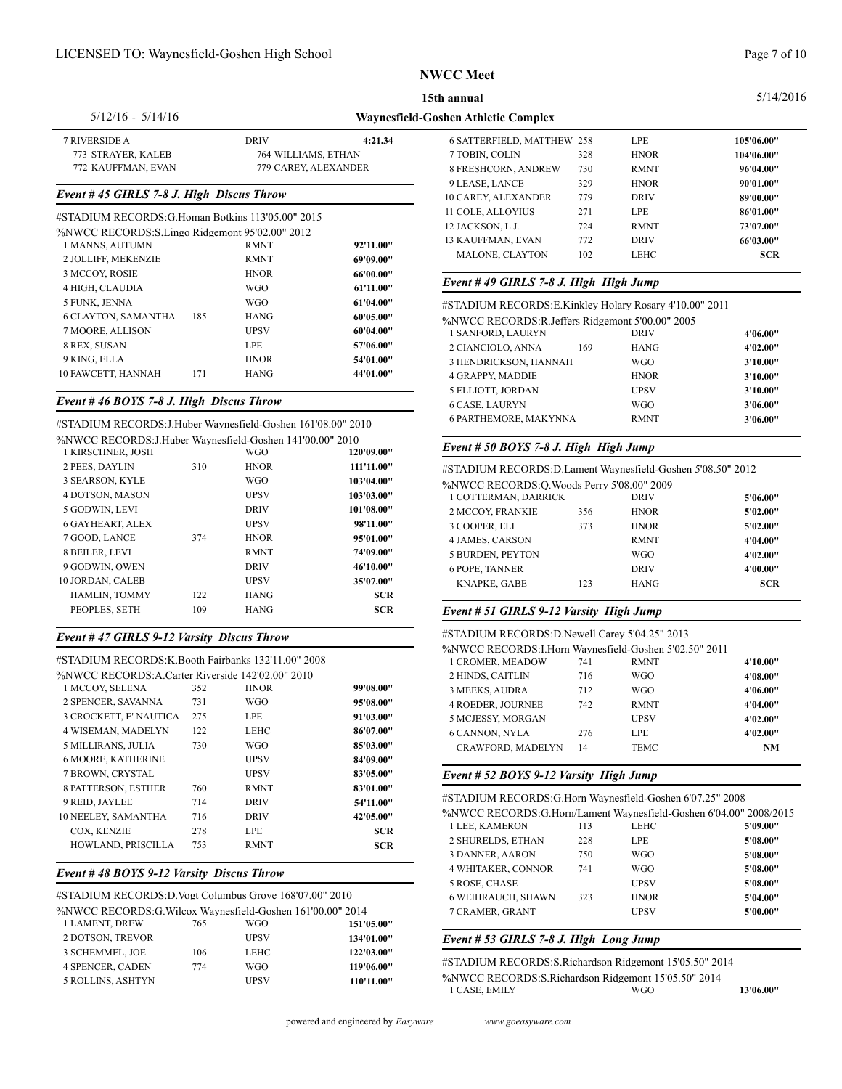#### 5/14/2016

5/12/16 - 5/14/16

**15th annual**

# **Waynesfield-Goshen Athletic Complex**

| 7 RIVERSIDE A      | DRIV                 | 4:21.34 | 6 SATTER   |
|--------------------|----------------------|---------|------------|
| 773 STRAYER, KALEB | 764 WILLIAMS, ETHAN  |         | 7 TOBIN, 0 |
| 772 KAUFFMAN, EVAN | 779 CAREY, ALEXANDER |         | 8 FRESHC   |

### *Event # 45 GIRLS 7-8 J. High Discus Throw*

| #STADIUM RECORDS:G.Homan Botkins 113'05.00" 2015 |     |             |           | 11 COLE, Al                       |
|--------------------------------------------------|-----|-------------|-----------|-----------------------------------|
| %NWCC RECORDS: S.Lingo Ridgemont 95'02.00" 2012  |     |             |           | 12 JACKSOI                        |
| 1 MANNS, AUTUMN                                  |     | <b>RMNT</b> | 92'11.00" | <b>13 KAUFFM</b><br><b>MALONE</b> |
| 2 JOLLIFF, MEKENZIE                              |     | <b>RMNT</b> | 69'09.00" |                                   |
| 3 MCCOY, ROSIE                                   |     | <b>HNOR</b> | 66'00.00" |                                   |
| 4 HIGH, CLAUDIA                                  |     | <b>WGO</b>  | 61'11.00" | Event #49                         |
| 5 FUNK, JENNA                                    |     | <b>WGO</b>  | 61'04.00" | #STADIUM                          |
| <b>6 CLAYTON, SAMANTHA</b>                       | 185 | <b>HANG</b> | 60'05.00" | %NWCC R                           |
| 7 MOORE, ALLISON                                 |     | <b>UPSV</b> | 60'04.00" | 1 SANFOR                          |
| 8 REX, SUSAN                                     |     | <b>LPE</b>  | 57'06.00" | 2 CIANCIC                         |
| 9 KING, ELLA                                     |     | <b>HNOR</b> | 54'01.00" | <b>3 HENDRI</b>                   |
| 10 FAWCETT, HANNAH                               | 171 | <b>HANG</b> | 44'01.00" | 4 GRAPPY.                         |
|                                                  |     |             |           |                                   |

# *Event # 46 BOYS 7-8 J. High Discus Throw*

#STADIUM RECORDS:J.Huber Waynesfield-Goshen 161'08.00" 2010 %NWCC RECORDS:J.Huber Waynesfield-Goshen 141'00.00" 2010

|     | <b>WGO</b>  | 120'09.00" |                         |     |                      |                                                                                                                                                                                                  |
|-----|-------------|------------|-------------------------|-----|----------------------|--------------------------------------------------------------------------------------------------------------------------------------------------------------------------------------------------|
| 310 | <b>HNOR</b> | 111'11.00" |                         |     |                      |                                                                                                                                                                                                  |
|     | <b>WGO</b>  | 103'04.00" |                         |     |                      |                                                                                                                                                                                                  |
|     | <b>UPSV</b> | 103'03.00" |                         |     | DRIV                 | 5'06.00"                                                                                                                                                                                         |
|     | <b>DRIV</b> | 101'08.00" | 2 MCCOY, FRANKIE        | 356 | <b>HNOR</b>          | 5'02.00"                                                                                                                                                                                         |
|     | <b>UPSV</b> | 98'11.00"  | 3 COOPER. ELI           | 373 | <b>HNOR</b>          | 5'02.00"                                                                                                                                                                                         |
| 374 | <b>HNOR</b> | 95'01.00"  | <b>4 JAMES, CARSON</b>  |     | <b>RMNT</b>          | 4'04.00"                                                                                                                                                                                         |
|     | <b>RMNT</b> | 74'09.00"  | <b>5 BURDEN, PEYTON</b> |     | <b>WGO</b>           | 4'02.00"                                                                                                                                                                                         |
|     | <b>DRIV</b> | 46'10.00"  | <b>6 POPE, TANNER</b>   |     | <b>DRIV</b>          | 4'00.00"                                                                                                                                                                                         |
|     | UPSV        | 35'07.00"  | KNAPKE, GABE            | 123 | <b>HANG</b>          | <b>SCR</b>                                                                                                                                                                                       |
| 122 | <b>HANG</b> | <b>SCR</b> |                         |     |                      |                                                                                                                                                                                                  |
| 109 | <b>HANG</b> | <b>SCR</b> |                         |     |                      |                                                                                                                                                                                                  |
|     |             |            |                         |     | 1 COTTERMAN, DARRICK | Event $\#$ 30 BOYS /-8 J. High High Jump<br>#STADIUM RECORDS:D.Lament Waynesfield-Goshen 5'08.50" 2012<br>%NWCC RECORDS: O. Woods Perry 5'08.00" 2009<br>Event # 51 GIRLS 9-12 Varsity High Jump |

# *Event # 47 GIRLS 9-12 Varsity Discus Throw*

# #STADIUM RECORDS:K.Booth Fairbanks 132'11.00" 2008

| %NWCC RECORDS:A.Carter Riverside 142'02.00" 2010 |     |             |            | 2 HINDS, CAITLIN                                               | 716 | <b>WGO</b>   | 4'08.00 |
|--------------------------------------------------|-----|-------------|------------|----------------------------------------------------------------|-----|--------------|---------|
| 1 MCCOY, SELENA                                  | 352 | <b>HNOR</b> | 99'08.00"  | 3 MEEKS, AUDRA                                                 | 712 | <b>WGO</b>   | 4'06.00 |
| 2 SPENCER, SAVANNA                               | 731 | <b>WGO</b>  | 95'08.00"  | <b>4 ROEDER, JOURNEE</b>                                       | 742 | <b>RMNT</b>  | 4'04.00 |
| 3 CROCKETT, E' NAUTICA                           | 275 | LPE         | 91'03.00"  | 5 MCJESSY, MORGAN                                              |     | <b>UPSV</b>  | 4'02.00 |
| 4 WISEMAN, MADELYN                               | 122 | LEHC        | 86'07.00"  | <b>6 CANNON, NYLA</b>                                          | 276 | LPE          | 4'02.00 |
| 5 MILLIRANS, JULIA                               | 730 | <b>WGO</b>  | 85'03.00"  | CRAWFORD, MADELYN                                              | 14  | <b>TEMC</b>  | N       |
| <b>6 MOORE, KATHERINE</b>                        |     | <b>UPSV</b> | 84'09.00"  |                                                                |     |              |         |
| 7 BROWN, CRYSTAL                                 |     | <b>UPSV</b> | 83'05.00"  | Event # 52 BOYS 9-12 Varsity High Jump                         |     |              |         |
| 8 PATTERSON, ESTHER                              | 760 | <b>RMNT</b> | 83'01.00"  |                                                                |     |              |         |
| 9 REID. JAYLEE                                   | 714 | <b>DRIV</b> | 54'11.00"  | #STADIUM RECORDS:G.Horn Wavnesfield-Goshen 6'07.25" 2008       |     |              |         |
| <b>10 NEELEY, SAMANTHA</b>                       | 716 | <b>DRIV</b> | 42'05.00"  | %NWCC RECORDS: G.Horn/Lament Wavnesfield-Goshen 6'04.00" 2008/ |     |              |         |
| <b>COX. KENZIE</b>                               | 278 | <b>LPE</b>  | <b>SCR</b> | 1 LEE, KAMERON                                                 | 113 | LEHC         | 5'09.00 |
| HOWLAND, PRISCILLA                               | 753 | <b>RMNT</b> | <b>SCR</b> | 2 SHURELDS, ETHAN                                              | 228 | LPE          | 5'08.00 |
|                                                  |     |             |            | $2$ DAMED A ADOM                                               | 750 | $\mathbf{u}$ | EIGO GO |

### *Event # 48 BOYS 9-12 Varsity Discus Throw*

#STADIUM RECORDS:D.Vogt Columbus Grove 168'07.00" 2010

%NWCC RECORDS:G.Wilcox Waynesfield-Goshen 161'00.00" 2014

| 1 LAMENT, DREW    | 765 | <b>WGO</b> | 151'05.00" |                                                          |           |
|-------------------|-----|------------|------------|----------------------------------------------------------|-----------|
| 2 DOTSON, TREVOR  |     | UPSV       | 134'01.00" | Event $# 53$ GIRLS 7-8 J. High Long Jump                 |           |
| 3 SCHEMMEL, JOE   | 106 | LEHC       | 122'03.00" |                                                          |           |
| 4 SPENCER, CADEN  | 774 | <b>WGO</b> | 119'06.00" | #STADIUM RECORDS: S. Richardson Ridgemont 15'05.50" 2014 |           |
| 5 ROLLINS, ASHTYN |     | JPSV       | 110'11.00" | %NWCC RECORDS:S.Richardson Ridgemont 15'05.50" 2014      |           |
|                   |     |            |            | 1 CARE EMILY<br>$\mathbf{W}\cap\mathbf{C}$               | 1210C 001 |

| <b>6 SATTERFIELD, MATTHEW 258</b> |     | LPE.        | 105'06.00" |
|-----------------------------------|-----|-------------|------------|
| 7 TOBIN, COLIN                    | 328 | <b>HNOR</b> | 104'06.00" |
| <b>8 FRESHCORN, ANDREW</b>        | 730 | <b>RMNT</b> | 96'04.00"  |
| 9 LEASE, LANCE                    | 329 | <b>HNOR</b> | 90'01.00"  |
| 10 CAREY, ALEXANDER               | 779 | <b>DRIV</b> | 89'00.00"  |
| 11 COLE, ALLOYIUS                 | 271 | LPE.        | 86'01.00"  |
| 12 JACKSON, L.J.                  | 724 | <b>RMNT</b> | 73'07.00"  |
| <b>13 KAUFFMAN, EVAN</b>          | 772 | <b>DRIV</b> | 66'03.00"  |
| <b>MALONE, CLAYTON</b>            | 102 | LEHC        | <b>SCR</b> |
|                                   |     |             |            |

### *Event # 49 GIRLS 7-8 J. High High Jump*

| #STADIUM RECORDS:E.Kinkley Holary Rosary 4'10.00" 2011 |             |          |
|--------------------------------------------------------|-------------|----------|
| %NWCC RECORDS:R.Jeffers Ridgemont 5'00.00" 2005        |             |          |
| 1 SANFORD, LAURYN                                      | <b>DRIV</b> | 4'06.00" |
| 2 CIANCIOLO, ANNA<br>169                               | <b>HANG</b> | 4'02.00" |
| 3 HENDRICKSON, HANNAH                                  | WGO         | 3'10.00" |
| <b>4 GRAPPY, MADDIE</b>                                | <b>HNOR</b> | 3'10.00" |
| 5 ELLIOTT, JORDAN                                      | <b>UPSV</b> | 3'10.00" |
| <b>6 CASE, LAURYN</b>                                  | <b>WGO</b>  | 3'06.00" |
| 6 PARTHEMORE, MAKYNNA                                  | <b>RMNT</b> | 3'06.00" |

# *Event # 50 BOYS 7-8 J. High High Jump*

| %NWCC RECORDS:O.Woods Perry 5'08.00" 2009 |     |             |            |
|-------------------------------------------|-----|-------------|------------|
| 1 COTTERMAN, DARRICK                      |     | <b>DRIV</b> | 5'06.00"   |
| 2 MCCOY, FRANKIE                          | 356 | <b>HNOR</b> | 5'02.00"   |
| 3 COOPER, ELI                             | 373 | <b>HNOR</b> | 5'02.00"   |
| <b>4 JAMES, CARSON</b>                    |     | <b>RMNT</b> | 4'04.00"   |
| 5 BURDEN, PEYTON                          |     | WGO         | 4'02.00"   |
| <b>6 POPE, TANNER</b>                     |     | <b>DRIV</b> | 4'00.00"   |
| KNAPKE, GABE                              | 123 | <b>HANG</b> | <b>SCR</b> |
|                                           |     |             |            |

| #STADIUM RECORDS:D.Newell Carey 5'04.25" 2013          |     |             |          |  |  |  |  |
|--------------------------------------------------------|-----|-------------|----------|--|--|--|--|
| %NWCC RECORDS: I.Horn Waynesfield-Goshen 5'02.50" 2011 |     |             |          |  |  |  |  |
| 1 CROMER, MEADOW                                       | 741 | <b>RMNT</b> | 4'10.00" |  |  |  |  |
| 2 HINDS, CAITLIN                                       | 716 | WGO         | 4'08.00" |  |  |  |  |
| 3 MEEKS, AUDRA                                         | 712 | WGO         | 4'06.00" |  |  |  |  |
| <b>4 ROEDER. JOURNEE</b>                               | 742 | <b>RMNT</b> | 4'04.00" |  |  |  |  |
| 5 MCJESSY, MORGAN                                      |     | UPSV        | 4'02.00" |  |  |  |  |
| <b>6 CANNON, NYLA</b>                                  | 276 | LPE         | 4'02.00" |  |  |  |  |
| CRAWFORD, MADELYN                                      | 14  | TEMC        | NM.      |  |  |  |  |
|                                                        |     |             |          |  |  |  |  |

| %NWCC RECORDS: G.Horn/Lament Waynesfield-Goshen 6'04.00" 2008/2015 |     |             |          |
|--------------------------------------------------------------------|-----|-------------|----------|
| 1 LEE, KAMERON                                                     | 113 | LEHC        | 5'09.00" |
| 2 SHURELDS, ETHAN                                                  | 228 | LPE.        | 5'08.00" |
| <b>3 DANNER, AARON</b>                                             | 750 | WGO         | 5'08.00" |
| <b>4 WHITAKER, CONNOR</b>                                          | 741 | WGO         | 5'08.00" |
| 5 ROSE, CHASE                                                      |     | UPSV        | 5'08.00" |
| <b>6 WEIHRAUCH, SHAWN</b>                                          | 323 | <b>HNOR</b> | 5'04.00" |
| 7 CRAMER, GRANT                                                    |     | UPSV        | 5'00.00" |
|                                                                    |     |             |          |

| #STADIUM RECORDS: S. Richardson Ridgemont 15'05.50" 2014 |      |           |
|----------------------------------------------------------|------|-----------|
| %NWCC RECORDS: S. Richardson Ridgemont 15'05.50" 2014    |      |           |
| 1 CASE. EMILY                                            | WGO. | 13'06.00" |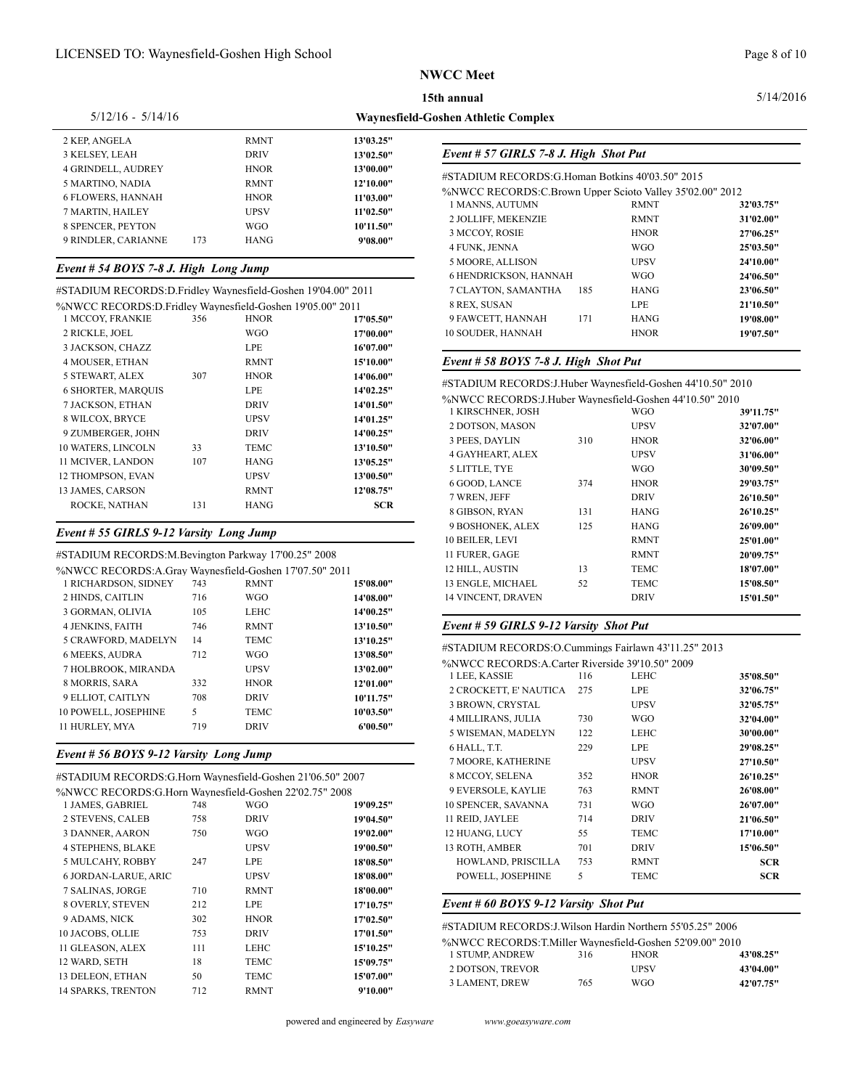**Waynesfield-Goshen Athletic Complex**

#### 5/14/2016

#### 5/12/16 - 5/14/16

| 2 KEP, ANGELA             |     | <b>RMNT</b> | 13'03.25" |                                                    |                               |
|---------------------------|-----|-------------|-----------|----------------------------------------------------|-------------------------------|
| 3 KELSEY, LEAH            |     | <b>DRIV</b> | 13'02.50" | Event # 57 GIRLS 7-8 J. High Shot Put              |                               |
| <b>4 GRINDELL, AUDREY</b> |     | <b>HNOR</b> | 13'00.00" |                                                    |                               |
| 5 MARTINO, NADIA          |     | <b>RMNT</b> | 12'10.00" | #STADIUM RECORDS: G.Homan Botkins 40'03.50" 2015   |                               |
| <b>6 FLOWERS, HANNAH</b>  |     | <b>HNOR</b> | 11'03.00" | %NWCC RECORDS:C.Brown Upper Scioto Valley 35'02.00 | <b>RMNT</b>                   |
| 7 MARTIN, HAILEY          |     | <b>UPSV</b> | 11'02.50" | 1 MANNS, AUTUMN<br>2 JOLLIFF, MEKENZIE             | <b>RMNT</b>                   |
| 8 SPENCER, PEYTON         |     | <b>WGO</b>  | 10'11.50" | 3 MCCOY, ROSIE                                     | <b>HNOR</b>                   |
| 9 RINDLER, CARIANNE       | 173 | <b>HANG</b> | 9'08.00"  | 1.777.777.773.71                                   | $\mathbf{u} \cdot \mathbf{v}$ |

### *Event # 54 BOYS 7-8 J. High Long Jump*

#### #STADIUM RECORDS:D.Fridley Waynesfield-Goshen 19'04.00" 2011 %NWCC RECORDS:D.Fridley Waynesfield-Goshen 19'05.00" 2011

| %NWCC RECORDS:D.FIIQIEV WAVIIESIIEIQ-GOSIIEII 19 05.00° 2011 |     |             |            | 0.1111,000111                                               |     | ⊷⊷          | 41 19.JU  |
|--------------------------------------------------------------|-----|-------------|------------|-------------------------------------------------------------|-----|-------------|-----------|
| 1 MCCOY, FRANKIE                                             | 356 | <b>HNOR</b> | 17'05.50"  | 9 FAWCETT, HANNAH                                           | 171 | <b>HANG</b> | 19'08.00" |
| 2 RICKLE, JOEL                                               |     | WGO         | 17'00.00"  | 10 SOUDER, HANNAH                                           |     | <b>HNOR</b> | 19'07.50" |
| 3 JACKSON, CHAZZ                                             |     | LPE         | 16'07.00"  |                                                             |     |             |           |
| 4 MOUSER, ETHAN                                              |     | <b>RMNT</b> | 15'10.00"  | Event # 58 BOYS 7-8 J. High Shot Put                        |     |             |           |
| 5 STEWART, ALEX                                              | 307 | <b>HNOR</b> | 14'06.00"  | #STADIUM RECORDS: J.Huber Wavnesfield-Goshen 44'10.50" 2010 |     |             |           |
| <b>6 SHORTER, MARQUIS</b>                                    |     | LPE         | 14'02.25"  |                                                             |     |             |           |
| 7 JACKSON, ETHAN                                             |     | <b>DRIV</b> | 14'01.50"  | %NWCC RECORDS: J. Huber Waynesfield-Goshen 44'10.50" 2010   |     |             |           |
| 8 WILCOX. BRYCE                                              |     | <b>UPSV</b> | 14'01.25"  | 1 KIRSCHNER, JOSH                                           |     | WGO.        | 39'11.75" |
| 9 ZUMBERGER, JOHN                                            |     | <b>DRIV</b> | 14'00.25"  | 2 DOTSON, MASON                                             |     | <b>UPSV</b> | 32'07.00" |
| 10 WATERS, LINCOLN                                           | 33  | TEMC        | 13'10.50"  | 3 PEES, DAYLIN                                              | 310 | <b>HNOR</b> | 32'06.00" |
| 11 MCIVER, LANDON                                            | 107 | <b>HANG</b> | 13'05.25"  | 4 GAYHEART, ALEX                                            |     | <b>UPSV</b> | 31'06.00" |
| 12 THOMPSON, EVAN                                            |     | <b>UPSV</b> | 13'00.50"  | 5 LITTLE, TYE                                               |     | <b>WGO</b>  | 30'09.50" |
| 13 JAMES, CARSON                                             |     | <b>RMNT</b> | 12'08.75"  | 6 GOOD, LANCE                                               | 374 | <b>HNOR</b> | 29'03.75" |
| ROCKE, NATHAN                                                | 131 | <b>HANG</b> | <b>SCR</b> | 7 WREN, JEFF                                                |     | <b>DRIV</b> | 26'10.50" |
|                                                              |     |             |            | 8 GIBSON, RYAN                                              | 131 | <b>HANG</b> | 26'10.25" |

### *Event # 55 GIRLS 9-12 Varsity Long Jump*

#STADIUM RECORDS:M.Bevington Parkway 17'00.25" 2008 %NWCC RECORDS:A.Gray Waynesfield-Goshen 17'07.50" 2011

| 7018 WCC KECOKD3.A.GIAV WAVIIESHEIG-GOSHEIL I / 07.50 Z011 |     |             |           | .                                                 |     |             |
|------------------------------------------------------------|-----|-------------|-----------|---------------------------------------------------|-----|-------------|
| 1 RICHARDSON, SIDNEY                                       | 743 | <b>RMNT</b> | 15'08.00" | 13 ENGLE, MICHAEL                                 | 52  | <b>TEMC</b> |
| 2 HINDS, CAITLIN                                           | 716 | <b>WGO</b>  | 14'08.00" | 14 VINCENT, DRAVEN                                |     | <b>DRIV</b> |
| 3 GORMAN, OLIVIA                                           | 105 | LEHC        | 14'00.25" |                                                   |     |             |
| <b>4 JENKINS, FAITH</b>                                    | 746 | <b>RMNT</b> | 13'10.50" | Event # 59 GIRLS 9-12 Varsity Shot Put            |     |             |
| 5 CRAWFORD, MADELYN                                        | 14  | <b>TEMC</b> | 13'10.25" |                                                   |     |             |
| <b>6 MEEKS, AUDRA</b>                                      | 712 | <b>WGO</b>  | 13'08.50" | #STADIUM RECORDS:O.Cummings Fairlawn 43'11.25" 20 |     |             |
| 7 HOLBROOK, MIRANDA                                        |     | <b>UPSV</b> | 13'02.00" | %NWCC RECORDS:A.Carter Riverside 39'10.50" 2009   |     |             |
| 8 MORRIS, SARA                                             | 332 | <b>HNOR</b> | 12'01.00" | 1 LEE. KASSIE                                     | 116 | LEHC        |
| 9 ELLIOT. CAITLYN                                          | 708 | <b>DRIV</b> | 10'11.75" | 2 CROCKETT, E' NAUTICA                            | 275 | LPE         |
|                                                            |     |             |           | 3 BROWN, CRYSTAL                                  |     | <b>UPSV</b> |
| 10 POWELL, JOSEPHINE                                       |     | <b>TEMC</b> | 10'03.50" | <b>4 MILLIRANS, JULIA</b>                         | 730 | <b>WGO</b>  |
| 11 HURLEY, MYA                                             | 719 | <b>DRIV</b> | 6'00.50"  |                                                   |     |             |
|                                                            |     |             |           | 5 WISEMAN, MADELYN                                | 122 | LEHC        |

#### *Event # 56 BOYS 9-12 Varsity Long Jump*

| #STADIUM RECORDS:G.Horn Waynesfield-Goshen 21'06.50" 2007 |     |             |           | 8 MCCOY, SELENA                                      | 352 | <b>HNOR</b> |  |
|-----------------------------------------------------------|-----|-------------|-----------|------------------------------------------------------|-----|-------------|--|
| %NWCC RECORDS:G.Horn Wavnesfield-Goshen 22'02.75" 2008    |     |             |           | 9 EVERSOLE, KAYLIE                                   | 763 | <b>RMNT</b> |  |
| 1 JAMES, GABRIEL                                          | 748 | <b>WGO</b>  | 19'09.25" | 10 SPENCER, SAVANNA                                  | 731 | <b>WGO</b>  |  |
| <b>2 STEVENS, CALEB</b>                                   | 758 | <b>DRIV</b> | 19'04.50" | 11 REID, JAYLEE                                      | 714 | <b>DRIV</b> |  |
| 3 DANNER, AARON                                           | 750 | <b>WGO</b>  | 19'02.00" | 12 HUANG, LUCY                                       | 55  | <b>TEMC</b> |  |
| <b>4 STEPHENS, BLAKE</b>                                  |     | <b>UPSV</b> | 19'00.50" | 13 ROTH, AMBER                                       | 701 | <b>DRIV</b> |  |
| 5 MULCAHY, ROBBY                                          | 247 | <b>LPE</b>  | 18'08.50" | HOWLAND, PRISCILLA                                   | 753 | <b>RMNT</b> |  |
| <b>6 JORDAN-LARUE, ARIC</b>                               |     | <b>UPSV</b> | 18'08.00" | POWELL, JOSEPHINE                                    | 5   | <b>TEMC</b> |  |
| 7 SALINAS, JORGE                                          | 710 | <b>RMNT</b> | 18'00.00" |                                                      |     |             |  |
| <b>8 OVERLY, STEVEN</b>                                   | 212 | <b>LPE</b>  | 17'10.75" | Event # 60 BOYS 9-12 Varsity Shot Put                |     |             |  |
| 9 ADAMS, NICK                                             | 302 | <b>HNOR</b> | 17'02.50" | #STADIUM RECORDS: J. Wilson Hardin Northern 55'05.25 |     |             |  |
| 10 JACOBS, OLLIE                                          | 753 | <b>DRIV</b> | 17'01.50" |                                                      |     |             |  |
| 11 GLEASON, ALEX                                          | 111 | LEHC        | 15'10.25" | %NWCC RECORDS:T.Miller Waynesfield-Goshen 52'09.0    | 316 | <b>HNOR</b> |  |
| 12 WARD, SETH                                             | 18  | TEMC        | 15'09.75" | 1 STUMP, ANDREW                                      |     | <b>UPSV</b> |  |
| 13 DELEON, ETHAN                                          | 50  | TEMC        | 15'07.00" | 2 DOTSON, TREVOR<br>3 LAMENT, DREW                   | 765 | <b>WGO</b>  |  |
| <b>14 SPARKS, TRENTON</b>                                 | 712 | <b>RMNT</b> | 9'10.00"  |                                                      |     |             |  |
|                                                           |     |             |           |                                                      |     |             |  |

# #STADIUM RECORDS:G.Homan Botkins 40'03.50" 2015 %NWCC RECORDS:C.Brown Upper Scioto Valley 35'02.00" 2012 MANNS, AUTUMN RMNT **32'03.75"** JOLLIFF, MEKENZIE RMNT **31'02.00"** MCCOY, ROSIE HNOR **27'06.25"** FUNK, JENNA WGO **25'03.50"** MOORE, ALLISON UPSV **24'10.00"** HENDRICKSON, HANNAH WGO **24'06.50"** CLAYTON, SAMANTHA 185 HANG **23'06.50"** REX, SUSAN LPE **21'10.50"**

| #STADIUM RECORDS: J.Huber Wavnesfield-Goshen 44'10.50" 2010 |     |             |           |
|-------------------------------------------------------------|-----|-------------|-----------|
| %NWCC RECORDS: J.Huber Waynesfield-Goshen 44'10.50" 2010    |     |             |           |
| 1 KIRSCHNER, JOSH                                           |     | WGO         | 39'11.75" |
| 2 DOTSON, MASON                                             |     | <b>UPSV</b> | 32'07.00" |
| 3 PEES, DAYLIN                                              | 310 | <b>HNOR</b> | 32'06.00" |
| <b>4 GAYHEART, ALEX</b>                                     |     | <b>UPSV</b> | 31'06.00" |
| 5 LITTLE, TYE                                               |     | <b>WGO</b>  | 30'09.50" |
| 6 GOOD, LANCE                                               | 374 | <b>HNOR</b> | 29'03.75" |
| 7 WREN, JEFF                                                |     | <b>DRIV</b> | 26'10.50" |
| 8 GIBSON, RYAN                                              | 131 | <b>HANG</b> | 26'10.25" |
| 9 BOSHONEK, ALEX                                            | 125 | <b>HANG</b> | 26'09.00" |
| 10 BEILER, LEVI                                             |     | <b>RMNT</b> | 25'01.00" |
| 11 FURER, GAGE                                              |     | <b>RMNT</b> | 20'09.75" |
| 12 HILL, AUSTIN                                             | 13  | TEMC        | 18'07.00" |
| 13 ENGLE, MICHAEL                                           | 52  | <b>TEMC</b> | 15'08.50" |
| 14 VINCENT, DRAVEN                                          |     | <b>DRIV</b> | 15'01.50" |
|                                                             |     |             |           |

| #STADIUM RECORDS: O. Cummings Fairlawn 43'11.25" 2013 |                           |     |             |            |  |  |  |
|-------------------------------------------------------|---------------------------|-----|-------------|------------|--|--|--|
| %NWCC RECORDS:A.Carter Riverside 39'10.50" 2009       |                           |     |             |            |  |  |  |
|                                                       | 1 LEE, KASSIE             | 116 | LEHC        | 35'08.50"  |  |  |  |
|                                                       | 2 CROCKETT, E' NAUTICA    | 275 | LPE         | 32'06.75"  |  |  |  |
|                                                       | 3 BROWN, CRYSTAL          |     | <b>UPSV</b> | 32'05.75"  |  |  |  |
|                                                       | <b>4 MILLIRANS, JULIA</b> | 730 | <b>WGO</b>  | 32'04.00"  |  |  |  |
|                                                       | 5 WISEMAN, MADELYN        | 122 | LEHC        | 30'00.00"  |  |  |  |
|                                                       | 6 HALL, T.T.              | 229 | LPE         | 29'08.25"  |  |  |  |
|                                                       | 7 MOORE, KATHERINE        |     | <b>UPSV</b> | 27'10.50"  |  |  |  |
|                                                       | 8 MCCOY, SELENA           | 352 | <b>HNOR</b> | 26'10.25"  |  |  |  |
|                                                       | 9 EVERSOLE, KAYLIE        | 763 | <b>RMNT</b> | 26'08.00"  |  |  |  |
|                                                       | 10 SPENCER, SAVANNA       | 731 | <b>WGO</b>  | 26'07.00"  |  |  |  |
|                                                       | 11 REID, JAYLEE           | 714 | <b>DRIV</b> | 21'06.50"  |  |  |  |
|                                                       | 12 HUANG, LUCY            | 55  | TEMC        | 17'10.00"  |  |  |  |
|                                                       | 13 ROTH, AMBER            | 701 | <b>DRIV</b> | 15'06.50"  |  |  |  |
|                                                       | HOWLAND, PRISCILLA        | 753 | <b>RMNT</b> | <b>SCR</b> |  |  |  |
|                                                       | POWELL, JOSEPHINE         | 5   | <b>TEMC</b> | <b>SCR</b> |  |  |  |
|                                                       |                           |     |             |            |  |  |  |

| #STADIUM RECORDS: J. Wilson Hardin Northern 55'05.25" 2006 |     |             |           |  |  |  |
|------------------------------------------------------------|-----|-------------|-----------|--|--|--|
| %NWCC RECORDS: T. Miller Waynesfield-Goshen 52'09.00" 2010 |     |             |           |  |  |  |
| 1 STUMP, ANDREW                                            | 316 | <b>HNOR</b> | 43'08.25" |  |  |  |
| 2 DOTSON, TREVOR                                           |     | <b>UPSV</b> | 43'04.00" |  |  |  |
| <b>3 LAMENT, DREW</b>                                      | 765 | WGO         | 42'07.75" |  |  |  |

powered and engineered by *Easyware www.goeasyware.com*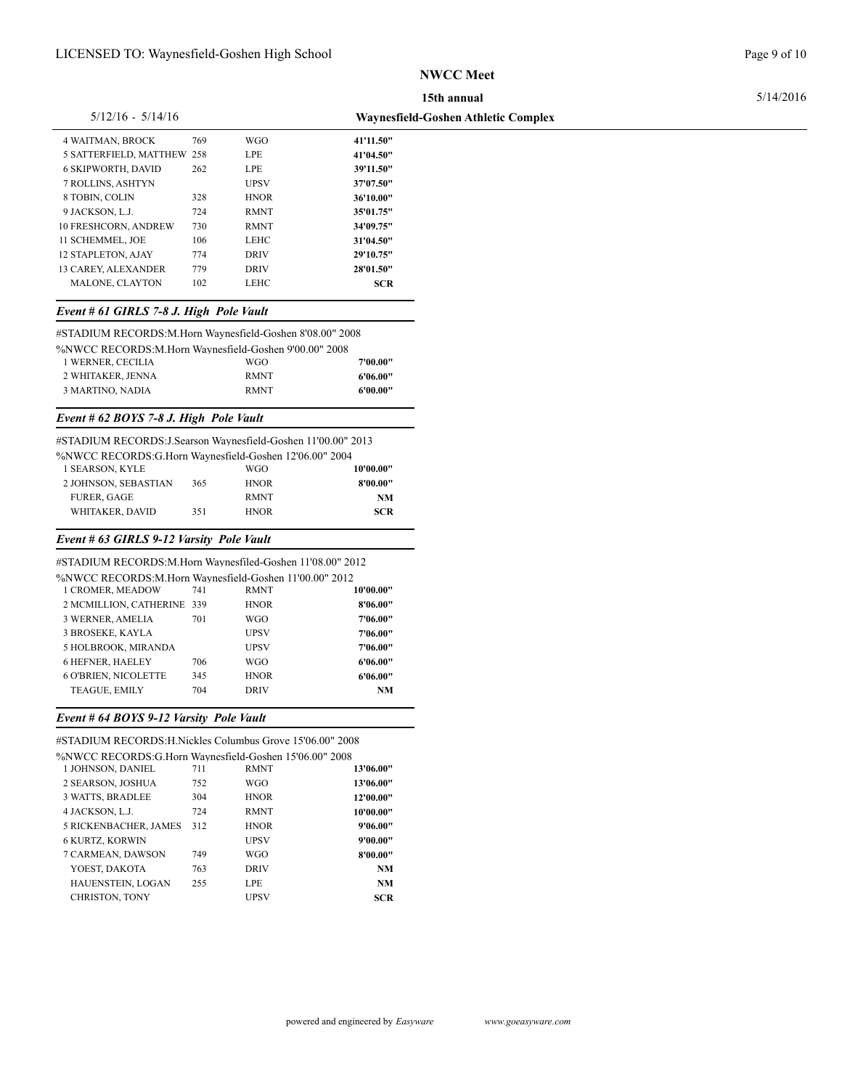### 5/14/2016

## 5/12/16 - 5/14/16

| $5/12/16 - 5/14/16$         |     |             | <b>Waynesfield-Goshen Athletic Complex</b> |
|-----------------------------|-----|-------------|--------------------------------------------|
| <b>4 WAITMAN, BROCK</b>     | 769 | <b>WGO</b>  | 41'11.50"                                  |
| 5 SATTERFIELD, MATTHEW 258  |     | LPE.        | 41'04.50"                                  |
| <b>6 SKIPWORTH, DAVID</b>   | 262 | <b>LPE</b>  | 39'11.50"                                  |
| <b>7 ROLLINS, ASHTYN</b>    |     | <b>UPSV</b> | 37'07.50"                                  |
| 8 TOBIN, COLIN              | 328 | <b>HNOR</b> | 36'10.00"                                  |
| 9 JACKSON, L.J.             | 724 | <b>RMNT</b> | 35'01.75"                                  |
| <b>10 FRESHCORN, ANDREW</b> | 730 | <b>RMNT</b> | 34'09.75"                                  |
| 11 SCHEMMEL. JOE            | 106 | LEHC        | 31'04.50"                                  |
| <b>12 STAPLETON, AJAY</b>   | 774 | <b>DRIV</b> | 29'10.75"                                  |
| <b>13 CAREY, ALEXANDER</b>  | 779 | <b>DRIV</b> | 28'01.50"                                  |
| <b>MALONE, CLAYTON</b>      | 102 | LEHC        | <b>SCR</b>                                 |
|                             |     |             |                                            |

# *Event # 61 GIRLS 7-8 J. High Pole Vault*

#STADIUM RECORDS:M.Horn Waynesfield-Goshen 8'08.00" 2008

| %NWCC RECORDS:M.Horn Wavnesfield-Goshen 9'00.00" 2008 |             |          |  |
|-------------------------------------------------------|-------------|----------|--|
| 1 WERNER, CECILIA                                     | WGO.        | 7'00.00" |  |
| 2 WHITAKER, JENNA                                     | <b>RMNT</b> | 6'06.00" |  |
| 3 MARTINO. NADIA                                      | <b>RMNT</b> | 6'00.00" |  |

# *Event # 62 BOYS 7-8 J. High Pole Vault*

| #STADIUM RECORDS:J.Searson Waynesfield-Goshen 11'00.00" 2013 |     |             |            |
|--------------------------------------------------------------|-----|-------------|------------|
| %NWCC RECORDS:G.Horn Waynesfield-Goshen 12'06.00" 2004       |     |             |            |
| 1 SEARSON, KYLE                                              |     | WGO.        | 10'00.00"  |
| 2 JOHNSON, SEBASTIAN                                         | 365 | <b>HNOR</b> | 8'00.00"   |
| <b>FURER, GAGE</b>                                           |     | <b>RMNT</b> | <b>NM</b>  |
| WHITAKER, DAVID                                              | 351 | <b>HNOR</b> | <b>SCR</b> |

# *Event # 63 GIRLS 9-12 Varsity Pole Vault*

| #STADIUM RECORDS:M.Horn Waynesfiled-Goshen 11'08.00" 2012 |     |             |           |
|-----------------------------------------------------------|-----|-------------|-----------|
| %NWCC RECORDS:M.Horn Waynesfield-Goshen 11'00.00" 2012    |     |             |           |
| 1 CROMER, MEADOW                                          | 741 | <b>RMNT</b> | 10'00.00" |
| 2 MCMILLION, CATHERINE 339                                |     | <b>HNOR</b> | 8'06.00"  |
| 3 WERNER, AMELIA                                          | 701 | WGO         | 7'06.00"  |
| <b>3 BROSEKE, KAYLA</b>                                   |     | <b>UPSV</b> | 7'06.00"  |
| 5 HOLBROOK, MIRANDA                                       |     | <b>UPSV</b> | 7'06.00"  |
| <b>6 HEFNER, HAELEY</b>                                   | 706 | WGO         | 6'06.00"  |
| <b>6 O'BRIEN. NICOLETTE</b>                               | 345 | <b>HNOR</b> | 6'06.00"  |
| TEAGUE, EMILY                                             | 704 | <b>DRIV</b> | NM        |
|                                                           |     |             |           |

### *Event # 64 BOYS 9-12 Varsity Pole Vault*

#STADIUM RECORDS:H.Nickles Columbus Grove 15'06.00" 2008 %NWCC RECORDS:G.Horn Waynesfield-Goshen 15'06.00" 2008

| 1 JOHNSON, DANIEL            | 711 | <b>RMNT</b> | 13'06.00"  |
|------------------------------|-----|-------------|------------|
| 2 SEARSON, JOSHUA            | 752 | <b>WGO</b>  | 13'06.00"  |
| 3 WATTS, BRADLEE             | 304 | <b>HNOR</b> | 12'00.00"  |
| 4 JACKSON, L.J.              | 724 | <b>RMNT</b> | 10'00.00"  |
| <b>5 RICKENBACHER, JAMES</b> | 312 | <b>HNOR</b> | 9'06.00"   |
| <b>6 KURTZ, KORWIN</b>       |     | <b>UPSV</b> | 9'00.00"   |
| 7 CARMEAN, DAWSON            | 749 | <b>WGO</b>  | 8'00.00"   |
| YOEST, DAKOTA                | 763 | <b>DRIV</b> | <b>NM</b>  |
| HAUENSTEIN, LOGAN            | 255 | LPE.        | NM         |
| <b>CHRISTON, TONY</b>        |     | <b>UPSV</b> | <b>SCR</b> |